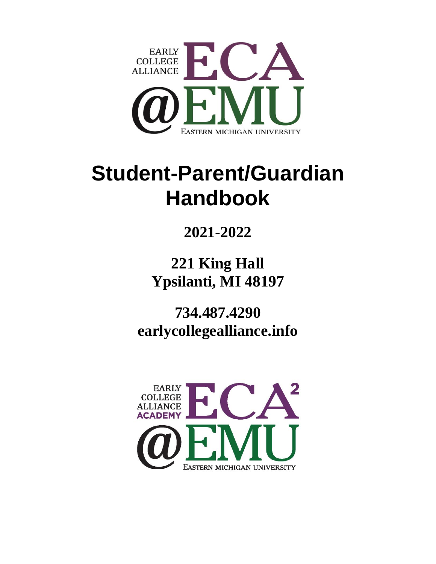

# **Student-Parent/Guardian Handbook**

# **2021-2022**

**221 King Hall Ypsilanti, MI 48197**

**734.487.4290 earlycollegealliance.info**

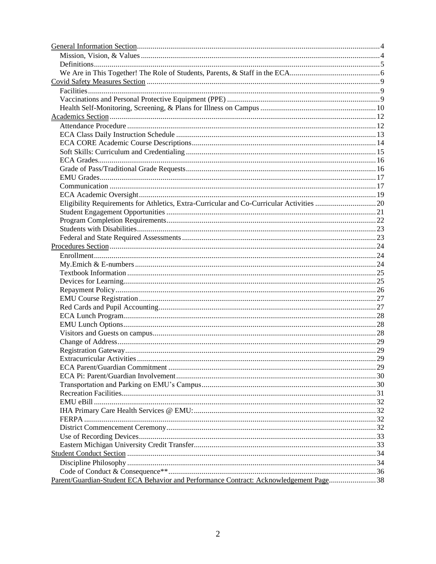| Parent/Guardian-Student ECA Behavior and Performance Contract: Acknowledgement Page38 |  |
|---------------------------------------------------------------------------------------|--|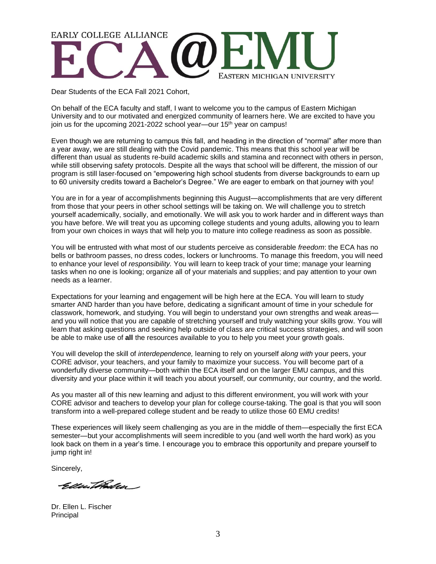# **EARLY COLLEGE ALLIANCE** EASTERN MICHIGAN UNIVERSITY

Dear Students of the ECA Fall 2021 Cohort,

On behalf of the ECA faculty and staff, I want to welcome you to the campus of Eastern Michigan University and to our motivated and energized community of learners here. We are excited to have you join us for the upcoming 2021-2022 school year—our 15<sup>th</sup> year on campus!

Even though we are returning to campus this fall, and heading in the direction of "normal" after more than a year away, we are still dealing with the Covid pandemic. This means that this school year will be different than usual as students re-build academic skills and stamina and reconnect with others in person, while still observing safety protocols. Despite all the ways that school will be different, the mission of our program is still laser-focused on "empowering high school students from diverse backgrounds to earn up to 60 university credits toward a Bachelor's Degree." We are eager to embark on that journey with you!

You are in for a year of accomplishments beginning this August—accomplishments that are very different from those that your peers in other school settings will be taking on. We will challenge you to stretch yourself academically, socially, and emotionally. We will ask you to work harder and in different ways than you have before. We will treat you as upcoming college students and young adults, allowing you to learn from your own choices in ways that will help you to mature into college readiness as soon as possible*.*

You will be entrusted with what most of our students perceive as considerable *freedom*: the ECA has no bells or bathroom passes, no dress codes, lockers or lunchrooms. To manage this freedom, you will need to enhance your level of *responsibility.* You will learn to keep track of your time; manage your learning tasks when no one is looking; organize all of your materials and supplies; and pay attention to your own needs as a learner.

Expectations for your learning and engagement will be high here at the ECA. You will learn to study smarter AND harder than you have before, dedicating a significant amount of time in your schedule for classwork, homework, and studying. You will begin to understand your own strengths and weak areas and you will notice that you are capable of stretching yourself and truly watching your skills grow. You will learn that asking questions and seeking help outside of class are critical success strategies, and will soon be able to make use of **all** the resources available to you to help you meet your growth goals.

You will develop the skill of *interdependence,* learning to rely on yourself *along with* your peers, your CORE advisor, your teachers, and your family to maximize your success. You will become part of a wonderfully diverse community—both within the ECA itself and on the larger EMU campus, and this diversity and your place within it will teach you about yourself, our community, our country, and the world.

As you master all of this new learning and adjust to this different environment, you will work with your CORE advisor and teachers to develop your plan for college course-taking. The goal is that you will soon transform into a well-prepared college student and be ready to utilize those 60 EMU credits!

These experiences will likely seem challenging as you are in the middle of them—especially the first ECA semester—but your accomplishments will seem incredible to you (and well worth the hard work) as you look back on them in a year's time. I encourage you to embrace this opportunity and prepare yourself to jump right in!

Sincerely,

Geller Tibrilen

Dr. Ellen L. Fischer Principal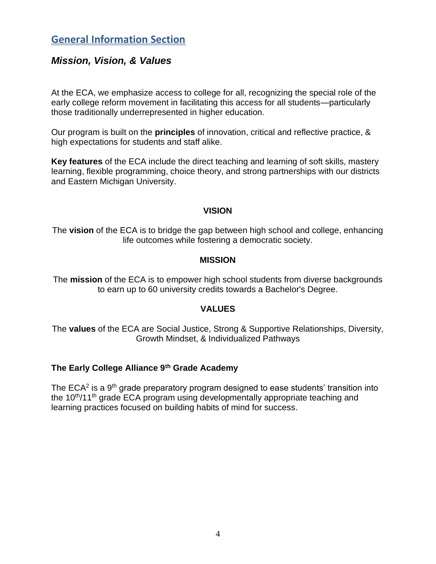# **General Information Section**

#### *Mission, Vision, & Values*

At the ECA, we emphasize access to college for all, recognizing the special role of the early college reform movement in facilitating this access for all students—particularly those traditionally underrepresented in higher education.

Our program is built on the **principles** of innovation, critical and reflective practice, & high expectations for students and staff alike.

**Key features** of the ECA include the direct teaching and learning of soft skills, mastery learning, flexible programming, choice theory, and strong partnerships with our districts and Eastern Michigan University.

#### **VISION**

The **vision** of the ECA is to bridge the gap between high school and college, enhancing life outcomes while fostering a democratic society.

#### **MISSION**

The **mission** of the ECA is to empower high school students from diverse backgrounds to earn up to 60 university credits towards a Bachelor's Degree.

#### **VALUES**

The **values** of the ECA are Social Justice, Strong & Supportive Relationships, Diversity, Growth Mindset, & Individualized Pathways

#### **The Early College Alliance 9th Grade Academy**

The ECA<sup>2</sup> is a 9<sup>th</sup> grade preparatory program designed to ease students' transition into the  $10<sup>th</sup>/11<sup>th</sup>$  grade ECA program using developmentally appropriate teaching and learning practices focused on building habits of mind for success.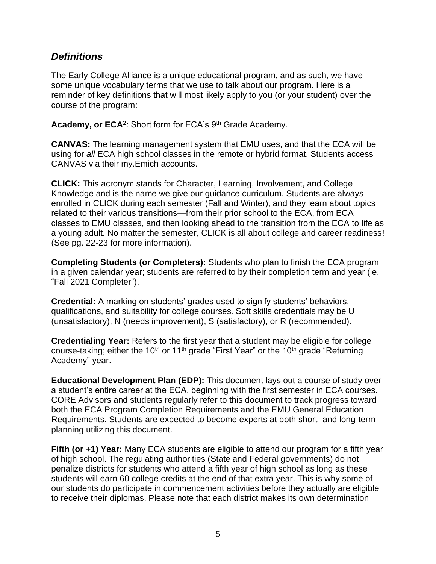#### *Definitions*

The Early College Alliance is a unique educational program, and as such, we have some unique vocabulary terms that we use to talk about our program. Here is a reminder of key definitions that will most likely apply to you (or your student) over the course of the program:

Academy, or ECA<sup>2</sup>: Short form for ECA's 9<sup>th</sup> Grade Academy.

**CANVAS:** The learning management system that EMU uses, and that the ECA will be using for *all* ECA high school classes in the remote or hybrid format. Students access CANVAS via their my.Emich accounts.

**CLICK:** This acronym stands for Character, Learning, Involvement, and College Knowledge and is the name we give our guidance curriculum. Students are always enrolled in CLICK during each semester (Fall and Winter), and they learn about topics related to their various transitions—from their prior school to the ECA, from ECA classes to EMU classes, and then looking ahead to the transition from the ECA to life as a young adult. No matter the semester, CLICK is all about college and career readiness! (See pg. 22-23 for more information).

**Completing Students (or Completers):** Students who plan to finish the ECA program in a given calendar year; students are referred to by their completion term and year (ie. "Fall 2021 Completer").

**Credential:** A marking on students' grades used to signify students' behaviors, qualifications, and suitability for college courses. Soft skills credentials may be U (unsatisfactory), N (needs improvement), S (satisfactory), or R (recommended).

**Credentialing Year:** Refers to the first year that a student may be eligible for college course-taking; either the 10<sup>th</sup> or 11<sup>th</sup> grade "First Year" or the 10<sup>th</sup> grade "Returning Academy" year.

**Educational Development Plan (EDP):** This document lays out a course of study over a student's entire career at the ECA, beginning with the first semester in ECA courses. CORE Advisors and students regularly refer to this document to track progress toward both the ECA Program Completion Requirements and the EMU General Education Requirements. Students are expected to become experts at both short- and long-term planning utilizing this document.

**Fifth (or +1) Year:** Many ECA students are eligible to attend our program for a fifth year of high school. The regulating authorities (State and Federal governments) do not penalize districts for students who attend a fifth year of high school as long as these students will earn 60 college credits at the end of that extra year. This is why some of our students do participate in commencement activities before they actually are eligible to receive their diplomas. Please note that each district makes its own determination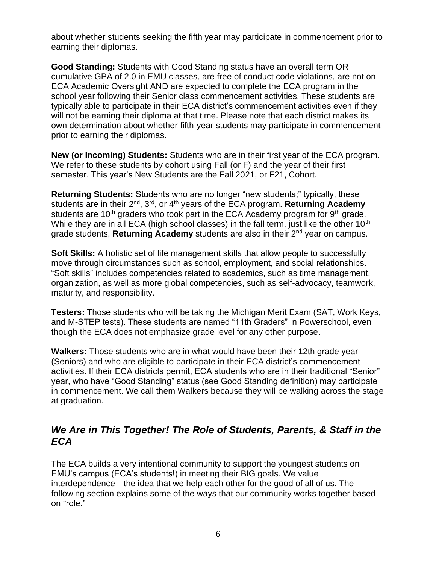about whether students seeking the fifth year may participate in commencement prior to earning their diplomas.

**Good Standing:** Students with Good Standing status have an overall term OR cumulative GPA of 2.0 in EMU classes, are free of conduct code violations, are not on ECA Academic Oversight AND are expected to complete the ECA program in the school year following their Senior class commencement activities. These students are typically able to participate in their ECA district's commencement activities even if they will not be earning their diploma at that time. Please note that each district makes its own determination about whether fifth-year students may participate in commencement prior to earning their diplomas.

**New (or Incoming) Students:** Students who are in their first year of the ECA program. We refer to these students by cohort using Fall (or F) and the year of their first semester. This year's New Students are the Fall 2021, or F21, Cohort.

**Returning Students:** Students who are no longer "new students;" typically, these students are in their 2<sup>nd</sup>, 3<sup>rd</sup>, or 4<sup>th</sup> years of the ECA program. **Returning Academy** students are 10<sup>th</sup> graders who took part in the ECA Academy program for  $9<sup>th</sup>$  grade. While they are in all ECA (high school classes) in the fall term, just like the other 10<sup>th</sup> grade students, **Returning Academy** students are also in their 2nd year on campus.

**Soft Skills:** A holistic set of life management skills that allow people to successfully move through circumstances such as school, employment, and social relationships. "Soft skills" includes competencies related to academics, such as time management, organization, as well as more global competencies, such as self-advocacy, teamwork, maturity, and responsibility.

**Testers:** Those students who will be taking the Michigan Merit Exam (SAT, Work Keys, and M-STEP tests). These students are named "11th Graders" in Powerschool, even though the ECA does not emphasize grade level for any other purpose.

**Walkers:** Those students who are in what would have been their 12th grade year (Seniors) and who are eligible to participate in their ECA district's commencement activities. If their ECA districts permit, ECA students who are in their traditional "Senior" year, who have "Good Standing" status (see Good Standing definition) may participate in commencement. We call them Walkers because they will be walking across the stage at graduation.

### *We Are in This Together! The Role of Students, Parents, & Staff in the ECA*

The ECA builds a very intentional community to support the youngest students on EMU's campus (ECA's students!) in meeting their BIG goals. We value interdependence—the idea that we help each other for the good of all of us. The following section explains some of the ways that our community works together based on "role."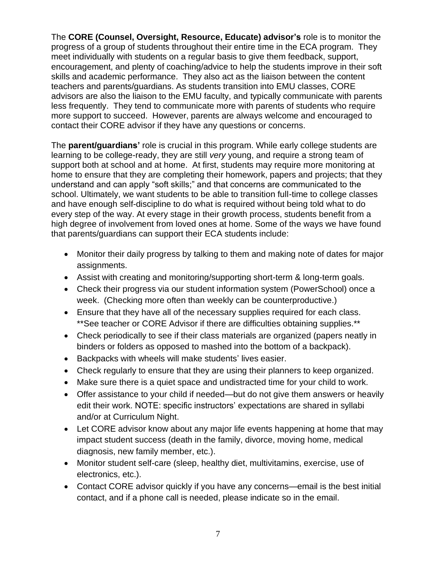The **CORE (Counsel, Oversight, Resource, Educate) advisor's** role is to monitor the progress of a group of students throughout their entire time in the ECA program. They meet individually with students on a regular basis to give them feedback, support, encouragement, and plenty of coaching/advice to help the students improve in their soft skills and academic performance. They also act as the liaison between the content teachers and parents/guardians. As students transition into EMU classes, CORE advisors are also the liaison to the EMU faculty, and typically communicate with parents less frequently. They tend to communicate more with parents of students who require more support to succeed. However, parents are always welcome and encouraged to contact their CORE advisor if they have any questions or concerns.

The **parent/guardians'** role is crucial in this program. While early college students are learning to be college-ready, they are still *very* young, and require a strong team of support both at school and at home. At first, students may require more monitoring at home to ensure that they are completing their homework, papers and projects; that they understand and can apply "soft skills;" and that concerns are communicated to the school. Ultimately, we want students to be able to transition full-time to college classes and have enough self-discipline to do what is required without being told what to do every step of the way. At every stage in their growth process, students benefit from a high degree of involvement from loved ones at home. Some of the ways we have found that parents/guardians can support their ECA students include:

- Monitor their daily progress by talking to them and making note of dates for major assignments.
- Assist with creating and monitoring/supporting short-term & long-term goals.
- Check their progress via our student information system (PowerSchool) once a week. (Checking more often than weekly can be counterproductive.)
- Ensure that they have all of the necessary supplies required for each class. \*\*See teacher or CORE Advisor if there are difficulties obtaining supplies.\*\*
- Check periodically to see if their class materials are organized (papers neatly in binders or folders as opposed to mashed into the bottom of a backpack).
- Backpacks with wheels will make students' lives easier.
- Check regularly to ensure that they are using their planners to keep organized.
- Make sure there is a quiet space and undistracted time for your child to work.
- Offer assistance to your child if needed—but do not give them answers or heavily edit their work. NOTE: specific instructors' expectations are shared in syllabi and/or at Curriculum Night.
- Let CORE advisor know about any major life events happening at home that may impact student success (death in the family, divorce, moving home, medical diagnosis, new family member, etc.).
- Monitor student self-care (sleep, healthy diet, multivitamins, exercise, use of electronics, etc.).
- Contact CORE advisor quickly if you have any concerns—email is the best initial contact, and if a phone call is needed, please indicate so in the email.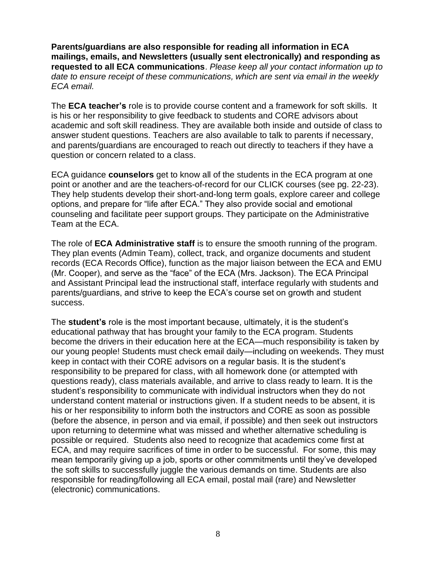**Parents/guardians are also responsible for reading all information in ECA mailings, emails, and Newsletters (usually sent electronically) and responding as requested to all ECA communications**. *Please keep all your contact information up to date to ensure receipt of these communications, which are sent via email in the weekly ECA email.*

The **ECA teacher's** role is to provide course content and a framework for soft skills. It is his or her responsibility to give feedback to students and CORE advisors about academic and soft skill readiness. They are available both inside and outside of class to answer student questions. Teachers are also available to talk to parents if necessary, and parents/guardians are encouraged to reach out directly to teachers if they have a question or concern related to a class.

ECA guidance **counselors** get to know all of the students in the ECA program at one point or another and are the teachers-of-record for our CLICK courses (see pg. 22-23). They help students develop their short-and-long term goals, explore career and college options, and prepare for "life after ECA." They also provide social and emotional counseling and facilitate peer support groups. They participate on the Administrative Team at the ECA.

The role of **ECA Administrative staff** is to ensure the smooth running of the program. They plan events (Admin Team), collect, track, and organize documents and student records (ECA Records Office), function as the major liaison between the ECA and EMU (Mr. Cooper), and serve as the "face" of the ECA (Mrs. Jackson). The ECA Principal and Assistant Principal lead the instructional staff, interface regularly with students and parents/guardians, and strive to keep the ECA's course set on growth and student success.

The **student's** role is the most important because, ultimately, it is the student's educational pathway that has brought your family to the ECA program. Students become the drivers in their education here at the ECA—much responsibility is taken by our young people! Students must check email daily—including on weekends. They must keep in contact with their CORE advisors on a regular basis. It is the student's responsibility to be prepared for class, with all homework done (or attempted with questions ready), class materials available, and arrive to class ready to learn. It is the student's responsibility to communicate with individual instructors when they do not understand content material or instructions given. If a student needs to be absent, it is his or her responsibility to inform both the instructors and CORE as soon as possible (before the absence, in person and via email, if possible) and then seek out instructors upon returning to determine what was missed and whether alternative scheduling is possible or required. Students also need to recognize that academics come first at ECA, and may require sacrifices of time in order to be successful. For some, this may mean temporarily giving up a job, sports or other commitments until they've developed the soft skills to successfully juggle the various demands on time. Students are also responsible for reading/following all ECA email, postal mail (rare) and Newsletter (electronic) communications.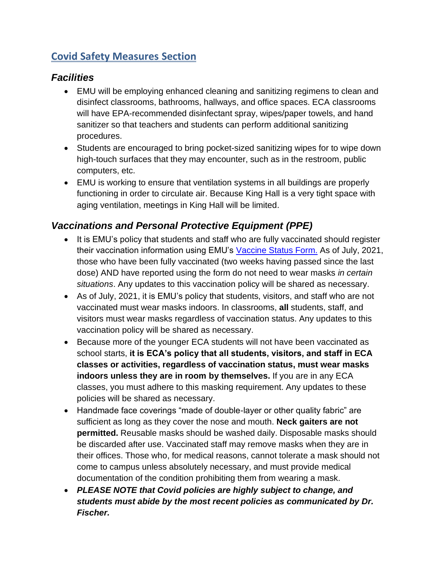# **Covid Safety Measures Section**

# *Facilities*

- EMU will be employing enhanced cleaning and sanitizing regimens to clean and disinfect classrooms, bathrooms, hallways, and office spaces. ECA classrooms will have EPA-recommended disinfectant spray, wipes/paper towels, and hand sanitizer so that teachers and students can perform additional sanitizing procedures.
- Students are encouraged to bring pocket-sized sanitizing wipes for to wipe down high-touch surfaces that they may encounter, such as in the restroom, public computers, etc.
- EMU is working to ensure that ventilation systems in all buildings are properly functioning in order to circulate air. Because King Hall is a very tight space with aging ventilation, meetings in King Hall will be limited.

# *Vaccinations and Personal Protective Equipment (PPE)*

- It is EMU's policy that students and staff who are fully vaccinated should register their vaccination information using EMU's [Vaccine Status Form.](https://covid.emich.edu/redcap/surveys/?s=LCFKDXF8R7) As of July, 2021, those who have been fully vaccinated (two weeks having passed since the last dose) AND have reported using the form do not need to wear masks *in certain situations*. Any updates to this vaccination policy will be shared as necessary.
- As of July, 2021, it is EMU's policy that students, visitors, and staff who are not vaccinated must wear masks indoors. In classrooms, **all** students, staff, and visitors must wear masks regardless of vaccination status. Any updates to this vaccination policy will be shared as necessary.
- Because more of the younger ECA students will not have been vaccinated as school starts, **it is ECA's policy that all students, visitors, and staff in ECA classes or activities, regardless of vaccination status, must wear masks indoors unless they are in room by themselves.** If you are in any ECA classes, you must adhere to this masking requirement. Any updates to these policies will be shared as necessary.
- Handmade face coverings "made of double-layer or other quality fabric" are sufficient as long as they cover the nose and mouth. **Neck gaiters are not permitted.** Reusable masks should be washed daily. Disposable masks should be discarded after use. Vaccinated staff may remove masks when they are in their offices. Those who, for medical reasons, cannot tolerate a mask should not come to campus unless absolutely necessary, and must provide medical documentation of the condition prohibiting them from wearing a mask.
- *PLEASE NOTE that Covid policies are highly subject to change, and students must abide by the most recent policies as communicated by Dr. Fischer.*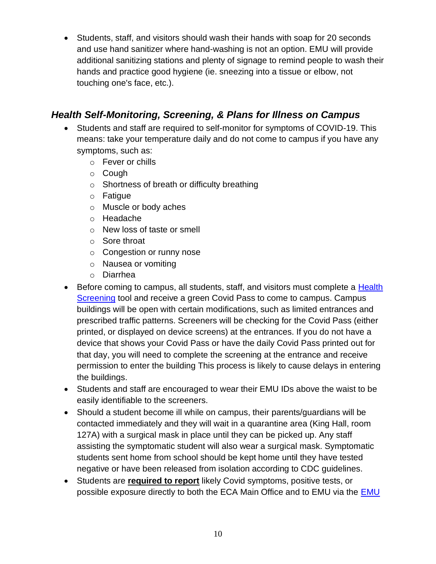• Students, staff, and visitors should wash their hands with soap for 20 seconds and use hand sanitizer where hand-washing is not an option. EMU will provide additional sanitizing stations and plenty of signage to remind people to wash their hands and practice good hygiene (ie. sneezing into a tissue or elbow, not touching one's face, etc.).

# *Health Self-Monitoring, Screening, & Plans for Illness on Campus*

- Students and staff are required to self-monitor for symptoms of COVID-19. This means: take your temperature daily and do not come to campus if you have any symptoms, such as:
	- o Fever or chills
	- o Cough
	- o Shortness of breath or difficulty breathing
	- o Fatigue
	- o Muscle or body aches
	- o Headache
	- o New loss of taste or smell
	- o Sore throat
	- o Congestion or runny nose
	- o Nausea or vomiting
	- o Diarrhea
- Before coming to campus, all students, staff, and visitors must complete a Health [Screening](https://covid.emich.edu/redcap/surveys/?s=8CLTHWK8EY) tool and receive a green Covid Pass to come to campus. Campus buildings will be open with certain modifications, such as limited entrances and prescribed traffic patterns. Screeners will be checking for the Covid Pass (either printed, or displayed on device screens) at the entrances. If you do not have a device that shows your Covid Pass or have the daily Covid Pass printed out for that day, you will need to complete the screening at the entrance and receive permission to enter the building This process is likely to cause delays in entering the buildings.
- Students and staff are encouraged to wear their EMU IDs above the waist to be easily identifiable to the screeners.
- Should a student become ill while on campus, their parents/guardians will be contacted immediately and they will wait in a quarantine area (King Hall, room 127A) with a surgical mask in place until they can be picked up. Any staff assisting the symptomatic student will also wear a surgical mask. Symptomatic students sent home from school should be kept home until they have tested negative or have been released from isolation according to CDC guidelines.
- Students are **required to report** likely Covid symptoms, positive tests, or possible exposure directly to both the ECA Main Office and to EMU via the [EMU](https://docs.google.com/forms/d/e/1FAIpQLSe0MSbLFpTDQhv-J6f7H2wm-hXCqa8AjHP-NzQ6glEPPFb5Zw/viewform)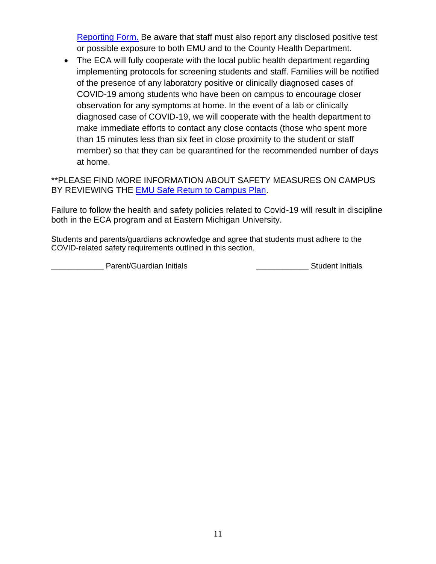[Reporting Form.](https://docs.google.com/forms/d/e/1FAIpQLSe0MSbLFpTDQhv-J6f7H2wm-hXCqa8AjHP-NzQ6glEPPFb5Zw/viewform) Be aware that staff must also report any disclosed positive test or possible exposure to both EMU and to the County Health Department.

• The ECA will fully cooperate with the local public health department regarding implementing protocols for screening students and staff. Families will be notified of the presence of any laboratory positive or clinically diagnosed cases of COVID-19 among students who have been on campus to encourage closer observation for any symptoms at home. In the event of a lab or clinically diagnosed case of COVID-19, we will cooperate with the health department to make immediate efforts to contact any close contacts (those who spent more than 15 minutes less than six feet in close proximity to the student or staff member) so that they can be quarantined for the recommended number of days at home.

\*\*PLEASE FIND MORE INFORMATION ABOUT SAFETY MEASURES ON CAMPUS BY REVIEWING THE **EMU Safe Return to Campus Plan.** 

Failure to follow the health and safety policies related to Covid-19 will result in discipline both in the ECA program and at Eastern Michigan University.

Students and parents/guardians acknowledge and agree that students must adhere to the COVID-related safety requirements outlined in this section.

Parent/Guardian Initials **Container Container Container Parameters** Student Initials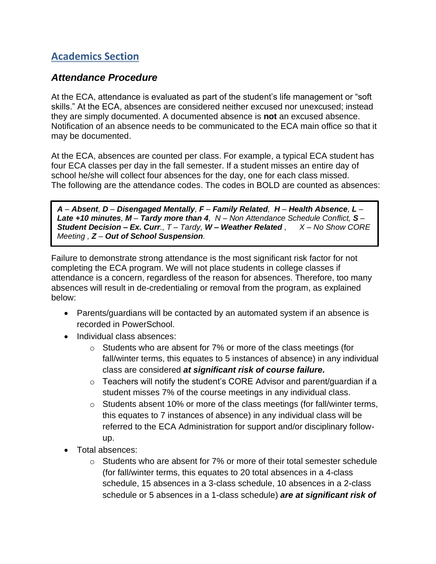# **Academics Section**

#### *Attendance Procedure*

At the ECA, attendance is evaluated as part of the student's life management or "soft skills." At the ECA, absences are considered neither excused nor unexcused; instead they are simply documented. A documented absence is **not** an excused absence. Notification of an absence needs to be communicated to the ECA main office so that it may be documented.

At the ECA, absences are counted per class. For example, a typical ECA student has four ECA classes per day in the fall semester. If a student misses an entire day of school he/she will collect four absences for the day, one for each class missed. The following are the attendance codes. The codes in BOLD are counted as absences:

A - Absent, D - Disengaged Mentally, F - Family Related, H - Health Absence, L -*Late +10 minutes, M – Tardy more than 4, N – Non Attendance Schedule Conflict, S – Student Decision – Ex. Curr., T – Tardy, W – Weather Related , X – No Show CORE Meeting , Z – Out of School Suspension.*

Failure to demonstrate strong attendance is the most significant risk factor for not completing the ECA program. We will not place students in college classes if attendance is a concern, regardless of the reason for absences. Therefore, too many absences will result in de-credentialing or removal from the program, as explained below:

- Parents/guardians will be contacted by an automated system if an absence is recorded in PowerSchool.
- Individual class absences:
	- o Students who are absent for 7% or more of the class meetings (for fall/winter terms, this equates to 5 instances of absence) in any individual class are considered *at significant risk of course failure.*
	- $\circ$  Teachers will notify the student's CORE Advisor and parent/guardian if a student misses 7% of the course meetings in any individual class.
	- o Students absent 10% or more of the class meetings (for fall/winter terms, this equates to 7 instances of absence) in any individual class will be referred to the ECA Administration for support and/or disciplinary followup.
- Total absences:
	- $\circ$  Students who are absent for 7% or more of their total semester schedule (for fall/winter terms, this equates to 20 total absences in a 4-class schedule, 15 absences in a 3-class schedule, 10 absences in a 2-class schedule or 5 absences in a 1-class schedule) *are at significant risk of*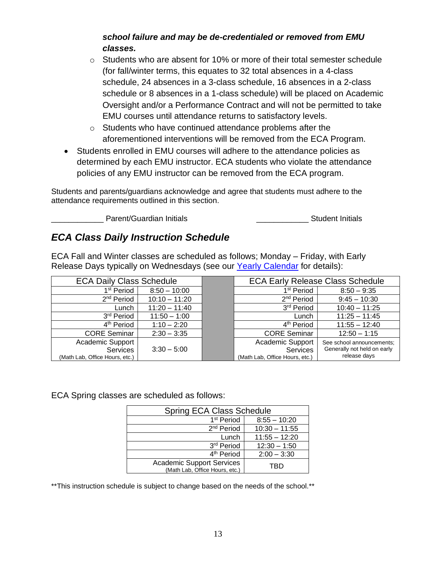#### *school failure and may be de-credentialed or removed from EMU classes.*

- $\circ$  Students who are absent for 10% or more of their total semester schedule (for fall/winter terms, this equates to 32 total absences in a 4-class schedule, 24 absences in a 3-class schedule, 16 absences in a 2-class schedule or 8 absences in a 1-class schedule) will be placed on Academic Oversight and/or a Performance Contract and will not be permitted to take EMU courses until attendance returns to satisfactory levels.
- o Students who have continued attendance problems after the aforementioned interventions will be removed from the ECA Program.
- Students enrolled in EMU courses will adhere to the attendance policies as determined by each EMU instructor. ECA students who violate the attendance policies of any EMU instructor can be removed from the ECA program.

Students and parents/guardians acknowledge and agree that students must adhere to the attendance requirements outlined in this section.

\_\_\_\_\_\_\_\_\_\_\_\_ Parent/Guardian Initials \_\_\_\_\_\_\_\_\_\_\_\_ Student Initials

# *ECA Class Daily Instruction Schedule*

ECA Fall and Winter classes are scheduled as follows; Monday – Friday, with Early Release Days typically on Wednesdays (see our [Yearly Calendar](https://12c45ac8-b025-43d3-b929-41737b8ddc20.filesusr.com/ugd/6548ee_411117ba250349f788131b511ba5a2d8.pdf) for details):

| <b>ECA Daily Class Schedule</b> |                 | <b>ECA Early Release Class Schedule</b> |                             |
|---------------------------------|-----------------|-----------------------------------------|-----------------------------|
| 1 <sup>st</sup> Period          | $8:50 - 10:00$  | 1 <sup>st</sup> Period                  | $8:50 - 9:35$               |
| 2 <sup>nd</sup> Period          | $10:10 - 11:20$ | 2 <sup>nd</sup> Period                  | $9:45 - 10:30$              |
| Lunch                           | $11:20 - 11:40$ | 3rd Period                              | $10:40 - 11:25$             |
| 3 <sup>rd</sup> Period          | $11:50 - 1:00$  | Lunch                                   | $11:25 - 11:45$             |
| 4 <sup>th</sup> Period          | $1:10 - 2:20$   | 4 <sup>th</sup> Period                  | $11:55 - 12:40$             |
| <b>CORE Seminar</b>             | $2:30 - 3:35$   | <b>CORE Seminar</b>                     | $12:50 - 1:15$              |
| Academic Support                |                 | Academic Support                        | See school announcements;   |
| Services                        | $3:30 - 5:00$   | <b>Services</b>                         | Generally not held on early |
| (Math Lab, Office Hours, etc.)  |                 | (Math Lab, Office Hours, etc.)          | release days                |

ECA Spring classes are scheduled as follows:

| <b>Spring ECA Class Schedule</b>                            |                 |  |  |
|-------------------------------------------------------------|-----------------|--|--|
| 1 <sup>st</sup> Period                                      | $8:55 - 10:20$  |  |  |
| 2 <sup>nd</sup> Period                                      | $10:30 - 11:55$ |  |  |
| Lunch                                                       | $11:55 - 12:20$ |  |  |
| 3rd Period                                                  | $12:30 - 1:50$  |  |  |
| 4 <sup>th</sup> Period                                      | $2:00 - 3:30$   |  |  |
| Academic Support Services<br>(Math Lab, Office Hours, etc.) | TRD             |  |  |

\*\*This instruction schedule is subject to change based on the needs of the school.\*\*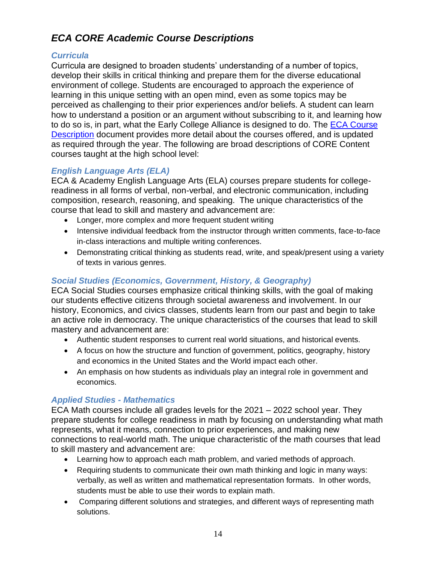# *ECA CORE Academic Course Descriptions*

#### *Curricula*

Curricula are designed to broaden students' understanding of a number of topics, develop their skills in critical thinking and prepare them for the diverse educational environment of college. Students are encouraged to approach the experience of learning in this unique setting with an open mind, even as some topics may be perceived as challenging to their prior experiences and/or beliefs. A student can learn how to understand a position or an argument without subscribing to it, and learning how to do so is, in part, what the Early College Alliance is designed to do. The [ECA Course](https://docs.google.com/document/d/e/2PACX-1vRydvgkGAHJ7rVdyOF1FWjB6qroDQdmOcqA4F5pyrvsMe5dGRsMY5hYt96pfbIoTefW7NLfQHVLtoKQ/pub)  [Description](https://docs.google.com/document/d/e/2PACX-1vRydvgkGAHJ7rVdyOF1FWjB6qroDQdmOcqA4F5pyrvsMe5dGRsMY5hYt96pfbIoTefW7NLfQHVLtoKQ/pub) document provides more detail about the courses offered, and is updated as required through the year. The following are broad descriptions of CORE Content courses taught at the high school level:

#### *English Language Arts (ELA)*

ECA & Academy English Language Arts (ELA) courses prepare students for collegereadiness in all forms of verbal, non-verbal, and electronic communication, including composition, research, reasoning, and speaking. The unique characteristics of the course that lead to skill and mastery and advancement are:

- Longer, more complex and more frequent student writing
- Intensive individual feedback from the instructor through written comments, face-to-face in-class interactions and multiple writing conferences.
- Demonstrating critical thinking as students read, write, and speak/present using a variety of texts in various genres.

#### *Social Studies (Economics, Government, History, & Geography)*

ECA Social Studies courses emphasize critical thinking skills, with the goal of making our students effective citizens through societal awareness and involvement. In our history, Economics, and civics classes, students learn from our past and begin to take an active role in democracy. The unique characteristics of the courses that lead to skill mastery and advancement are:

- Authentic student responses to current real world situations, and historical events.
- A focus on how the structure and function of government, politics, geography, history and economics in the United States and the World impact each other.
- An emphasis on how students as individuals play an integral role in government and economics.

#### *Applied Studies - Mathematics*

ECA Math courses include all grades levels for the 2021 – 2022 school year. They prepare students for college readiness in math by focusing on understanding what math represents, what it means, connection to prior experiences, and making new connections to real-world math. The unique characteristic of the math courses that lead to skill mastery and advancement are:

- Learning how to approach each math problem, and varied methods of approach.
- Requiring students to communicate their own math thinking and logic in many ways: verbally, as well as written and mathematical representation formats. In other words, students must be able to use their words to explain math.
- Comparing different solutions and strategies, and different ways of representing math solutions.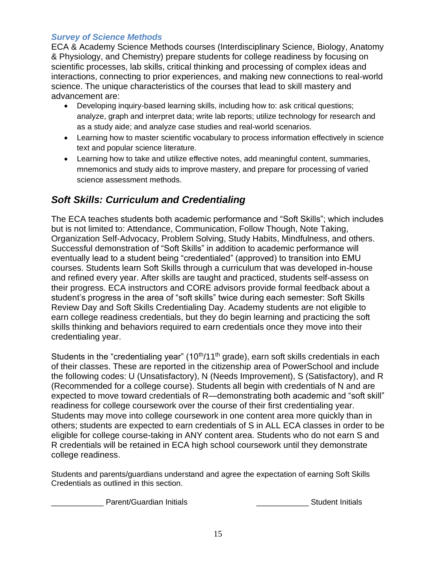#### *Survey of Science Methods*

ECA & Academy Science Methods courses (Interdisciplinary Science, Biology, Anatomy & Physiology, and Chemistry) prepare students for college readiness by focusing on scientific processes, lab skills, critical thinking and processing of complex ideas and interactions, connecting to prior experiences, and making new connections to real-world science. The unique characteristics of the courses that lead to skill mastery and advancement are:

- Developing inquiry-based learning skills, including how to: ask critical questions; analyze, graph and interpret data; write lab reports; utilize technology for research and as a study aide; and analyze case studies and real-world scenarios.
- Learning how to master scientific vocabulary to process information effectively in science text and popular science literature.
- Learning how to take and utilize effective notes, add meaningful content, summaries, mnemonics and study aids to improve mastery, and prepare for processing of varied science assessment methods.

# *Soft Skills: Curriculum and Credentialing*

The ECA teaches students both academic performance and "Soft Skills"; which includes but is not limited to: Attendance, Communication, Follow Though, Note Taking, Organization Self-Advocacy, Problem Solving, Study Habits, Mindfulness, and others. Successful demonstration of "Soft Skills" in addition to academic performance will eventually lead to a student being "credentialed" (approved) to transition into EMU courses. Students learn Soft Skills through a curriculum that was developed in-house and refined every year. After skills are taught and practiced, students self-assess on their progress. ECA instructors and CORE advisors provide formal feedback about a student's progress in the area of "soft skills" twice during each semester: Soft Skills Review Day and Soft Skills Credentialing Day. Academy students are not eligible to earn college readiness credentials, but they do begin learning and practicing the soft skills thinking and behaviors required to earn credentials once they move into their credentialing year.

Students in the "credentialing year" (10<sup>th</sup>/11<sup>th</sup> grade), earn soft skills credentials in each of their classes. These are reported in the citizenship area of PowerSchool and include the following codes: U (Unsatisfactory), N (Needs Improvement), S (Satisfactory), and R (Recommended for a college course). Students all begin with credentials of N and are expected to move toward credentials of R—demonstrating both academic and "soft skill" readiness for college coursework over the course of their first credentialing year. Students may move into college coursework in one content area more quickly than in others; students are expected to earn credentials of S in ALL ECA classes in order to be eligible for college course-taking in ANY content area. Students who do not earn S and R credentials will be retained in ECA high school coursework until they demonstrate college readiness.

Students and parents/guardians understand and agree the expectation of earning Soft Skills Credentials as outlined in this section.

Parent/Guardian Initials **Exercise Student Initials Student Initials**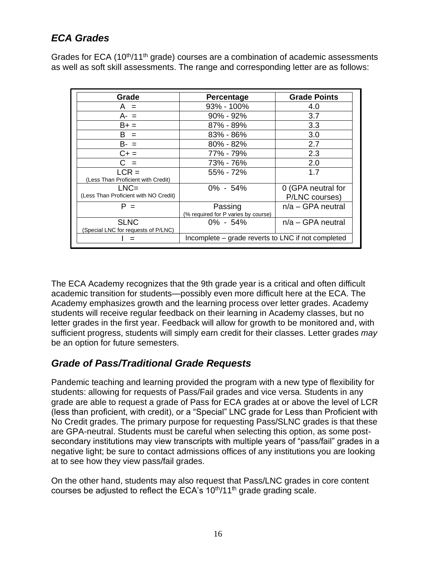# *ECA Grades*

Grades for ECA ( $10<sup>th</sup>/11<sup>th</sup>$  grade) courses are a combination of academic assessments as well as soft skill assessments. The range and corresponding letter are as follows:

| Grade                                              | Percentage                                         | <b>Grade Points</b>                  |  |
|----------------------------------------------------|----------------------------------------------------|--------------------------------------|--|
| $A =$                                              | 93% - 100%                                         | 4.0                                  |  |
| $A - =$                                            | $90\% - 92\%$                                      | 3.7                                  |  |
| $B+ =$                                             | 87% - 89%                                          | 3.3                                  |  |
| $B =$                                              | $83\% - 86\%$                                      | 3.0                                  |  |
| $B - =$                                            | $80\% - 82\%$                                      | 2.7                                  |  |
| $C + =$                                            | 77% - 79%                                          | 2.3                                  |  |
| $C =$                                              | 73% - 76%                                          | 2.0                                  |  |
| $LCR =$<br>(Less Than Proficient with Credit)      | 55% - 72%                                          | 1.7                                  |  |
| $LNC=$<br>(Less Than Proficient with NO Credit)    | $0\% - 54\%$                                       | 0 (GPA neutral for<br>P/LNC courses) |  |
| $P =$                                              | Passing<br>(% required for P varies by course)     | $n/a - GPA$ neutral                  |  |
| <b>SLNC</b><br>(Special LNC for requests of P/LNC) | $0\% - 54\%$                                       | $n/a - GPA$ neutral                  |  |
|                                                    | Incomplete – grade reverts to LNC if not completed |                                      |  |

The ECA Academy recognizes that the 9th grade year is a critical and often difficult academic transition for students—possibly even more difficult here at the ECA. The Academy emphasizes growth and the learning process over letter grades. Academy students will receive regular feedback on their learning in Academy classes, but no letter grades in the first year. Feedback will allow for growth to be monitored and, with sufficient progress, students will simply earn credit for their classes. Letter grades *may* be an option for future semesters.

# *Grade of Pass/Traditional Grade Requests*

Pandemic teaching and learning provided the program with a new type of flexibility for students: allowing for requests of Pass/Fail grades and vice versa. Students in any grade are able to request a grade of Pass for ECA grades at or above the level of LCR (less than proficient, with credit), or a "Special" LNC grade for Less than Proficient with No Credit grades. The primary purpose for requesting Pass/SLNC grades is that these are GPA-neutral. Students must be careful when selecting this option, as some postsecondary institutions may view transcripts with multiple years of "pass/fail" grades in a negative light; be sure to contact admissions offices of any institutions you are looking at to see how they view pass/fail grades.

On the other hand, students may also request that Pass/LNC grades in core content courses be adjusted to reflect the ECA's  $10<sup>th</sup>/11<sup>th</sup>$  grade grading scale.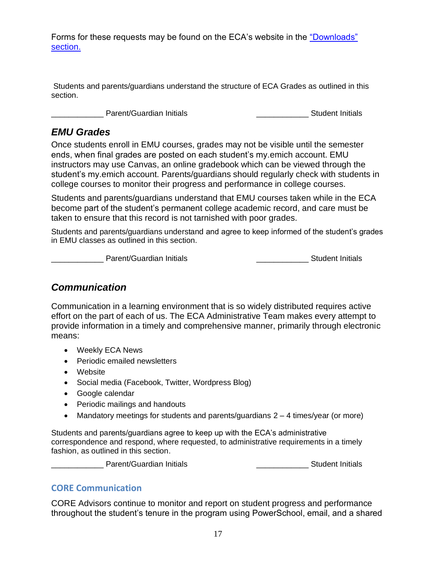Forms for these requests may be found on the ECA's website in the ["Downloads"](https://www.earlycollegealliance.info/downloads)  [section.](https://www.earlycollegealliance.info/downloads)

Students and parents/guardians understand the structure of ECA Grades as outlined in this section.

\_\_\_\_\_\_\_\_\_\_\_\_ Parent/Guardian Initials \_\_\_\_\_\_\_\_\_\_\_\_ Student Initials

#### *EMU Grades*

Once students enroll in EMU courses, grades may not be visible until the semester ends, when final grades are posted on each student's my.emich account. EMU instructors may use Canvas, an online gradebook which can be viewed through the student's my.emich account. Parents/guardians should regularly check with students in college courses to monitor their progress and performance in college courses.

Students and parents/guardians understand that EMU courses taken while in the ECA become part of the student's permanent college academic record, and care must be taken to ensure that this record is not tarnished with poor grades.

Students and parents/guardians understand and agree to keep informed of the student's grades in EMU classes as outlined in this section.

Loom Communication Communication Initials and Communication Communication Communication Communication Communication

# *Communication*

Communication in a learning environment that is so widely distributed requires active effort on the part of each of us. The ECA Administrative Team makes every attempt to provide information in a timely and comprehensive manner, primarily through electronic means:

- Weekly ECA News
- Periodic emailed newsletters
- Website
- Social media (Facebook, Twitter, Wordpress Blog)
- Google calendar
- Periodic mailings and handouts
- Mandatory meetings for students and parents/guardians  $2 4$  times/year (or more)

Students and parents/guardians agree to keep up with the ECA's administrative correspondence and respond, where requested, to administrative requirements in a timely fashion, as outlined in this section.

Lacken and Parent/Guardian Initials **Exercise 2018** Student Initials

#### **CORE Communication**

CORE Advisors continue to monitor and report on student progress and performance throughout the student's tenure in the program using PowerSchool, email, and a shared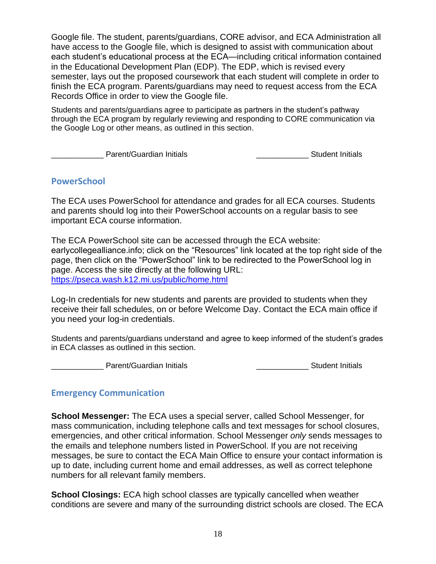Google file. The student, parents/guardians, CORE advisor, and ECA Administration all have access to the Google file, which is designed to assist with communication about each student's educational process at the ECA—including critical information contained in the Educational Development Plan (EDP). The EDP, which is revised every semester, lays out the proposed coursework that each student will complete in order to finish the ECA program. Parents/guardians may need to request access from the ECA Records Office in order to view the Google file.

Students and parents/guardians agree to participate as partners in the student's pathway through the ECA program by regularly reviewing and responding to CORE communication via the Google Log or other means, as outlined in this section.

Letter London 2 and The Parent/Guardian Initials **Letter London 2 and The Parent Initials** and Dunner London 2 and Dunner London 2 and Dunner London 2 and Dunner London 2 and Dunner London 2 and Dunner London 2 and Dunner

#### **PowerSchool**

The ECA uses PowerSchool for attendance and grades for all ECA courses. Students and parents should log into their PowerSchool accounts on a regular basis to see important ECA course information.

The ECA PowerSchool site can be accessed through the ECA website: earlycollegealliance.info; click on the "Resources" link located at the top right side of the page, then click on the "PowerSchool" link to be redirected to the PowerSchool log in page. Access the site directly at the following URL: <https://pseca.wash.k12.mi.us/public/home.html>

Log-In credentials for new students and parents are provided to students when they receive their fall schedules, on or before Welcome Day. Contact the ECA main office if you need your log-in credentials.

Students and parents/guardians understand and agree to keep informed of the student's grades in ECA classes as outlined in this section.

\_\_\_\_\_\_\_\_\_\_\_\_ Parent/Guardian Initials \_\_\_\_\_\_\_\_\_\_\_\_ Student Initials

#### **Emergency Communication**

**School Messenger:** The ECA uses a special server, called School Messenger, for mass communication, including telephone calls and text messages for school closures, emergencies, and other critical information. School Messenger *only* sends messages to the emails and telephone numbers listed in PowerSchool. If you are not receiving messages, be sure to contact the ECA Main Office to ensure your contact information is up to date, including current home and email addresses, as well as correct telephone numbers for all relevant family members.

**School Closings:** ECA high school classes are typically cancelled when weather conditions are severe and many of the surrounding district schools are closed. The ECA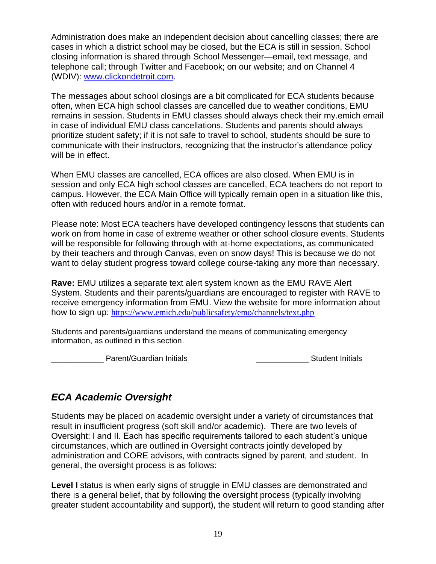Administration does make an independent decision about cancelling classes; there are cases in which a district school may be closed, but the ECA is still in session. School closing information is shared through School Messenger—email, text message, and telephone call; through Twitter and Facebook; on our website; and on Channel 4 (WDIV): [www.clickondetroit.com.](http://www.clickondetroit.com/)

The messages about school closings are a bit complicated for ECA students because often, when ECA high school classes are cancelled due to weather conditions, EMU remains in session. Students in EMU classes should always check their my.emich email in case of individual EMU class cancellations. Students and parents should always prioritize student safety; if it is not safe to travel to school, students should be sure to communicate with their instructors, recognizing that the instructor's attendance policy will be in effect.

When EMU classes are cancelled, ECA offices are also closed. When EMU is in session and only ECA high school classes are cancelled, ECA teachers do not report to campus. However, the ECA Main Office will typically remain open in a situation like this, often with reduced hours and/or in a remote format.

Please note: Most ECA teachers have developed contingency lessons that students can work on from home in case of extreme weather or other school closure events. Students will be responsible for following through with at-home expectations, as communicated by their teachers and through Canvas, even on snow days! This is because we do not want to delay student progress toward college course-taking any more than necessary.

**Rave:** EMU utilizes a separate text alert system known as the EMU RAVE Alert System. Students and their parents/guardians are encouraged to register with RAVE to receive emergency information from EMU. View the website for more information about how to sign up: <https://www.emich.edu/publicsafety/emo/channels/text.php>

Students and parents/guardians understand the means of communicating emergency information, as outlined in this section.

\_\_\_\_\_\_\_\_\_\_\_\_ Parent/Guardian Initials \_\_\_\_\_\_\_\_\_\_\_\_ Student Initials

# *ECA Academic Oversight*

Students may be placed on academic oversight under a variety of circumstances that result in insufficient progress (soft skill and/or academic). There are two levels of Oversight: I and II. Each has specific requirements tailored to each student's unique circumstances, which are outlined in Oversight contracts jointly developed by administration and CORE advisors, with contracts signed by parent, and student. In general, the oversight process is as follows:

Level I status is when early signs of struggle in EMU classes are demonstrated and there is a general belief, that by following the oversight process (typically involving greater student accountability and support), the student will return to good standing after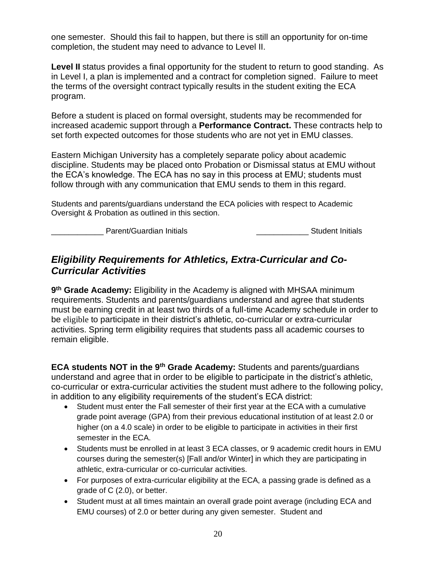one semester. Should this fail to happen, but there is still an opportunity for on-time completion, the student may need to advance to Level II.

**Level II** status provides a final opportunity for the student to return to good standing. As in Level I, a plan is implemented and a contract for completion signed. Failure to meet the terms of the oversight contract typically results in the student exiting the ECA program.

Before a student is placed on formal oversight, students may be recommended for increased academic support through a **Performance Contract.** These contracts help to set forth expected outcomes for those students who are not yet in EMU classes.

Eastern Michigan University has a completely separate policy about academic discipline. Students may be placed onto Probation or Dismissal status at EMU without the ECA's knowledge. The ECA has no say in this process at EMU; students must follow through with any communication that EMU sends to them in this regard.

Students and parents/guardians understand the ECA policies with respect to Academic Oversight & Probation as outlined in this section.

Lowing December 19 Student Initials Lowing December 1944 and 1950s Lowing Student Initials

# *Eligibility Requirements for Athletics, Extra-Curricular and Co-Curricular Activities*

**9 th Grade Academy:** Eligibility in the Academy is aligned with MHSAA minimum requirements. Students and parents/guardians understand and agree that students must be earning credit in at least two thirds of a full-time Academy schedule in order to be eligible to participate in their district's athletic, co-curricular or extra-curricular activities. Spring term eligibility requires that students pass all academic courses to remain eligible.

**ECA students NOT in the 9th Grade Academy:** Students and parents/guardians understand and agree that in order to be eligible to participate in the district's athletic, co-curricular or extra-curricular activities the student must adhere to the following policy, in addition to any eligibility requirements of the student's ECA district:

- Student must enter the Fall semester of their first year at the ECA with a cumulative grade point average (GPA) from their previous educational institution of at least 2.0 or higher (on a 4.0 scale) in order to be eligible to participate in activities in their first semester in the ECA.
- Students must be enrolled in at least 3 ECA classes, or 9 academic credit hours in EMU courses during the semester(s) [Fall and/or Winter] in which they are participating in athletic, extra-curricular or co-curricular activities.
- For purposes of extra-curricular eligibility at the ECA, a passing grade is defined as a grade of C (2.0), or better.
- Student must at all times maintain an overall grade point average (including ECA and EMU courses) of 2.0 or better during any given semester. Student and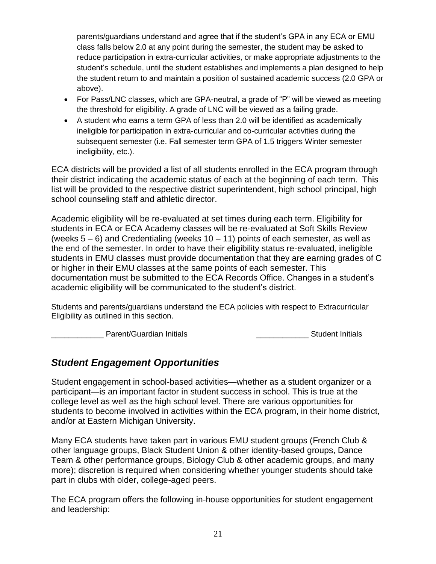parents/guardians understand and agree that if the student's GPA in any ECA or EMU class falls below 2.0 at any point during the semester, the student may be asked to reduce participation in extra-curricular activities, or make appropriate adjustments to the student's schedule, until the student establishes and implements a plan designed to help the student return to and maintain a position of sustained academic success (2.0 GPA or above).

- For Pass/LNC classes, which are GPA-neutral, a grade of "P" will be viewed as meeting the threshold for eligibility. A grade of LNC will be viewed as a failing grade.
- A student who earns a term GPA of less than 2.0 will be identified as academically ineligible for participation in extra-curricular and co-curricular activities during the subsequent semester (i.e. Fall semester term GPA of 1.5 triggers Winter semester ineligibility, etc.).

ECA districts will be provided a list of all students enrolled in the ECA program through their district indicating the academic status of each at the beginning of each term. This list will be provided to the respective district superintendent, high school principal, high school counseling staff and athletic director.

Academic eligibility will be re-evaluated at set times during each term. Eligibility for students in ECA or ECA Academy classes will be re-evaluated at Soft Skills Review (weeks  $5 - 6$ ) and Credentialing (weeks  $10 - 11$ ) points of each semester, as well as the end of the semester. In order to have their eligibility status re-evaluated, ineligible students in EMU classes must provide documentation that they are earning grades of C or higher in their EMU classes at the same points of each semester. This documentation must be submitted to the ECA Records Office. Changes in a student's academic eligibility will be communicated to the student's district.

Students and parents/guardians understand the ECA policies with respect to Extracurricular Eligibility as outlined in this section.

Parent/Guardian Initials **Parent/Guardian Initials Parent/Guardian Initials Student Initials** 

# *Student Engagement Opportunities*

Student engagement in school-based activities—whether as a student organizer or a participant—is an important factor in student success in school. This is true at the college level as well as the high school level. There are various opportunities for students to become involved in activities within the ECA program, in their home district, and/or at Eastern Michigan University.

Many ECA students have taken part in various EMU student groups (French Club & other language groups, Black Student Union & other identity-based groups, Dance Team & other performance groups, Biology Club & other academic groups, and many more); discretion is required when considering whether younger students should take part in clubs with older, college-aged peers.

The ECA program offers the following in-house opportunities for student engagement and leadership: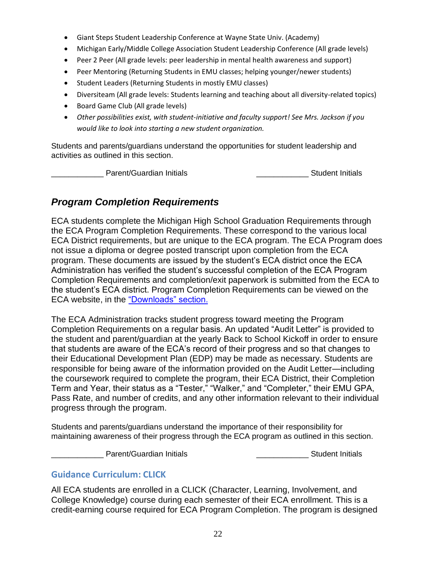- Giant Steps Student Leadership Conference at Wayne State Univ. (Academy)
- Michigan Early/Middle College Association Student Leadership Conference (All grade levels)
- Peer 2 Peer (All grade levels: peer leadership in mental health awareness and support)
- Peer Mentoring (Returning Students in EMU classes; helping younger/newer students)
- Student Leaders (Returning Students in mostly EMU classes)
- Diversiteam (All grade levels: Students learning and teaching about all diversity-related topics)
- Board Game Club (All grade levels)
- *Other possibilities exist, with student-initiative and faculty support! See Mrs. Jackson if you would like to look into starting a new student organization.*

Students and parents/guardians understand the opportunities for student leadership and activities as outlined in this section.

Parent/Guardian Initials **Example 20** Student Initials

### *Program Completion Requirements*

ECA students complete the Michigan High School Graduation Requirements through the ECA Program Completion Requirements. These correspond to the various local ECA District requirements, but are unique to the ECA program. The ECA Program does not issue a diploma or degree posted transcript upon completion from the ECA program. These documents are issued by the student's ECA district once the ECA Administration has verified the student's successful completion of the ECA Program Completion Requirements and completion/exit paperwork is submitted from the ECA to the student's ECA district. Program Completion Requirements can be viewed on the ECA website, in the ["Downloads" section.](https://www.earlycollegealliance.info/downloads)

The ECA Administration tracks student progress toward meeting the Program Completion Requirements on a regular basis. An updated "Audit Letter" is provided to the student and parent/guardian at the yearly Back to School Kickoff in order to ensure that students are aware of the ECA's record of their progress and so that changes to their Educational Development Plan (EDP) may be made as necessary. Students are responsible for being aware of the information provided on the Audit Letter—including the coursework required to complete the program, their ECA District, their Completion Term and Year, their status as a "Tester," "Walker," and "Completer," their EMU GPA, Pass Rate, and number of credits, and any other information relevant to their individual progress through the program.

Students and parents/guardians understand the importance of their responsibility for maintaining awareness of their progress through the ECA program as outlined in this section.

Lowell Parent/Guardian Initials **Container and Container Parent/Guardian Initials Student Initials** 

#### **Guidance Curriculum: CLICK**

All ECA students are enrolled in a CLICK (Character, Learning, Involvement, and College Knowledge) course during each semester of their ECA enrollment. This is a credit-earning course required for ECA Program Completion. The program is designed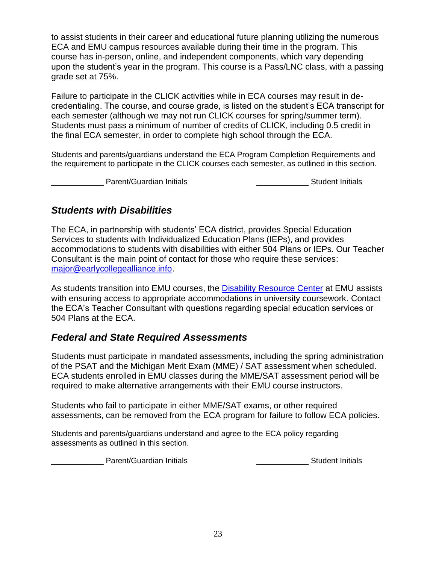to assist students in their career and educational future planning utilizing the numerous ECA and EMU campus resources available during their time in the program. This course has in-person, online, and independent components, which vary depending upon the student's year in the program. This course is a Pass/LNC class, with a passing grade set at 75%.

Failure to participate in the CLICK activities while in ECA courses may result in decredentialing. The course, and course grade, is listed on the student's ECA transcript for each semester (although we may not run CLICK courses for spring/summer term). Students must pass a minimum of number of credits of CLICK, including 0.5 credit in the final ECA semester, in order to complete high school through the ECA.

Students and parents/guardians understand the ECA Program Completion Requirements and the requirement to participate in the CLICK courses each semester, as outlined in this section.

Letter Latent/Guardian Initials and Communication Communication Communication Communication Communication Comm

### *Students with Disabilities*

The ECA, in partnership with students' ECA district, provides Special Education Services to students with Individualized Education Plans (IEPs), and provides accommodations to students with disabilities with either 504 Plans or IEPs. Our Teacher Consultant is the main point of contact for those who require these services: [major@earlycollegealliance.info.](mailto:major@earlycollegealliance.info)

As students transition into EMU courses, the [Disability Resource Center](http://www.emich.edu/drc/) at EMU assists with ensuring access to appropriate accommodations in university coursework. Contact the ECA's Teacher Consultant with questions regarding special education services or 504 Plans at the ECA.

### *Federal and State Required Assessments*

Students must participate in mandated assessments, including the spring administration of the PSAT and the Michigan Merit Exam (MME) / SAT assessment when scheduled. ECA students enrolled in EMU classes during the MME/SAT assessment period will be required to make alternative arrangements with their EMU course instructors.

Students who fail to participate in either MME/SAT exams, or other required assessments, can be removed from the ECA program for failure to follow ECA policies.

Students and parents/guardians understand and agree to the ECA policy regarding assessments as outlined in this section.

Lowell and Denington Parent/Guardian Initials and The Contract of the Student Initials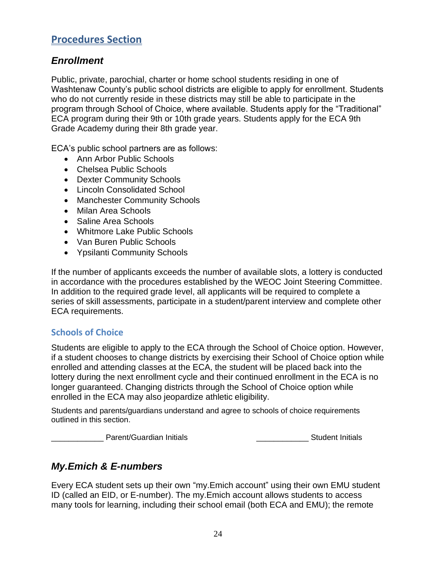# **Procedures Section**

#### *Enrollment*

Public, private, parochial, charter or home school students residing in one of Washtenaw County's public school districts are eligible to apply for enrollment. Students who do not currently reside in these districts may still be able to participate in the program through School of Choice, where available. Students apply for the "Traditional" ECA program during their 9th or 10th grade years. Students apply for the ECA 9th Grade Academy during their 8th grade year.

ECA's public school partners are as follows:

- Ann Arbor Public Schools
- Chelsea Public Schools
- Dexter Community Schools
- Lincoln Consolidated School
- Manchester Community Schools
- Milan Area Schools
- Saline Area Schools
- Whitmore Lake Public Schools
- Van Buren Public Schools
- Ypsilanti Community Schools

If the number of applicants exceeds the number of available slots, a lottery is conducted in accordance with the procedures established by the WEOC Joint Steering Committee. In addition to the required grade level, all applicants will be required to complete a series of skill assessments, participate in a student/parent interview and complete other ECA requirements.

#### **Schools of Choice**

Students are eligible to apply to the ECA through the School of Choice option. However, if a student chooses to change districts by exercising their School of Choice option while enrolled and attending classes at the ECA, the student will be placed back into the lottery during the next enrollment cycle and their continued enrollment in the ECA is no longer guaranteed. Changing districts through the School of Choice option while enrolled in the ECA may also jeopardize athletic eligibility.

Students and parents/guardians understand and agree to schools of choice requirements outlined in this section.

Lowell Parent/Guardian Initials **Container and Container Parent/Guardian Initials Student Initials** 

# *My.Emich & E-numbers*

Every ECA student sets up their own "my.Emich account" using their own EMU student ID (called an EID, or E-number). The my.Emich account allows students to access many tools for learning, including their school email (both ECA and EMU); the remote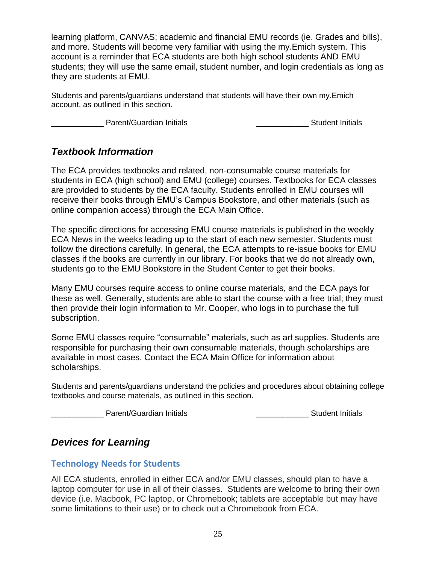learning platform, CANVAS; academic and financial EMU records (ie. Grades and bills), and more. Students will become very familiar with using the my.Emich system. This account is a reminder that ECA students are both high school students AND EMU students; they will use the same email, student number, and login credentials as long as they are students at EMU.

Students and parents/guardians understand that students will have their own my.Emich account, as outlined in this section.

Loom Parent/Guardian Initials and Contact Contact Contact Parent Initials and Parent Initials

### *Textbook Information*

The ECA provides textbooks and related, non-consumable course materials for students in ECA (high school) and EMU (college) courses. Textbooks for ECA classes are provided to students by the ECA faculty. Students enrolled in EMU courses will receive their books through EMU's Campus Bookstore, and other materials (such as online companion access) through the ECA Main Office.

The specific directions for accessing EMU course materials is published in the weekly ECA News in the weeks leading up to the start of each new semester. Students must follow the directions carefully. In general, the ECA attempts to re-issue books for EMU classes if the books are currently in our library. For books that we do not already own, students go to the EMU Bookstore in the Student Center to get their books.

Many EMU courses require access to online course materials, and the ECA pays for these as well. Generally, students are able to start the course with a free trial; they must then provide their login information to Mr. Cooper, who logs in to purchase the full subscription.

Some EMU classes require "consumable" materials, such as art supplies. Students are responsible for purchasing their own consumable materials, though scholarships are available in most cases. Contact the ECA Main Office for information about scholarships.

Students and parents/guardians understand the policies and procedures about obtaining college textbooks and course materials, as outlined in this section.

\_\_\_\_\_\_\_\_\_\_\_\_ Parent/Guardian Initials \_\_\_\_\_\_\_\_\_\_\_\_ Student Initials

# *Devices for Learning*

### **Technology Needs for Students**

All ECA students, enrolled in either ECA and/or EMU classes, should plan to have a laptop computer for use in all of their classes. Students are welcome to bring their own device (i.e. Macbook, PC laptop, or Chromebook; tablets are acceptable but may have some limitations to their use) or to check out a Chromebook from ECA.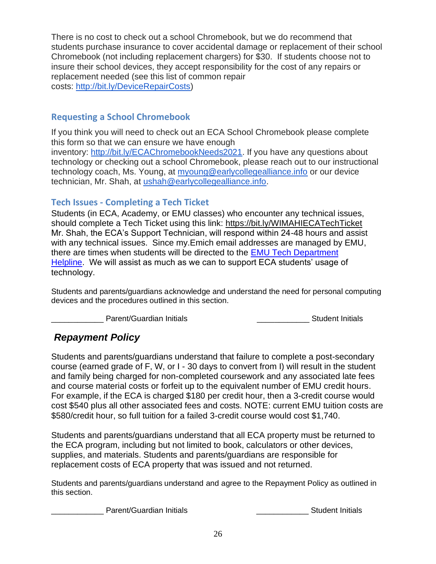There is no cost to check out a school Chromebook, but we do recommend that students purchase insurance to cover accidental damage or replacement of their school Chromebook (not including replacement chargers) for \$30. If students choose not to insure their school devices, they accept responsibility for the cost of any repairs or replacement needed (see this list of common repair costs: [http://bit.ly/DeviceRepairCosts\)](http://bit.ly/DeviceRepairCosts)

#### **Requesting a School Chromebook**

If you think you will need to check out an ECA School Chromebook please complete this form so that we can ensure we have enough inventory: [http://bit.ly/ECAChromebookNeeds2021.](http://bit.ly/ECAChromebookNeeds2021) If you have any questions about technology or checking out a school Chromebook, please reach out to our instructional technology coach, Ms. Young, at [myoung@earlycollegealliance.info](mailto:myoung@earlycollegealliance.info) or our device technician, Mr. Shah, at [ushah@earlycollegealliance.info.](mailto:ushah@earlycollegealliance.info)

### **Tech Issues - Completing a Tech Ticket**

Students (in ECA, Academy, or EMU classes) who encounter any technical issues, should complete a Tech Ticket using this link: <https://bit.ly/WIMAHIECATechTicket> Mr. Shah, the ECA's Support Technician, will respond within 24-48 hours and assist with any technical issues. Since my.Emich email addresses are managed by EMU, there are times when students will be directed to the [EMU Tech Department](https://www.emich.edu/it/help/help_desk/)  [Helpline.](https://www.emich.edu/it/help/help_desk/) We will assist as much as we can to support ECA students' usage of technology.

Students and parents/guardians acknowledge and understand the need for personal computing devices and the procedures outlined in this section.

Parent/Guardian Initials **Exercise 20** and Student Initials **Student Initials** 

# *Repayment Policy*

Students and parents/guardians understand that failure to complete a post-secondary course (earned grade of F, W, or I - 30 days to convert from I) will result in the student and family being charged for non-completed coursework and any associated late fees and course material costs or forfeit up to the equivalent number of EMU credit hours. For example, if the ECA is charged \$180 per credit hour, then a 3-credit course would cost \$540 plus all other associated fees and costs. NOTE: current EMU tuition costs are \$580/credit hour, so full tuition for a failed 3-credit course would cost \$1,740.

Students and parents/guardians understand that all ECA property must be returned to the ECA program, including but not limited to book, calculators or other devices, supplies, and materials. Students and parents/guardians are responsible for replacement costs of ECA property that was issued and not returned.

Students and parents/guardians understand and agree to the Repayment Policy as outlined in this section.

Parent/Guardian Initials **Executes Contract Contract Contract Contract Contract Contract Contract Contract Contract Contract Contract Contract Contract Contract Contract Contract Contract Contract Contract Contract Contr**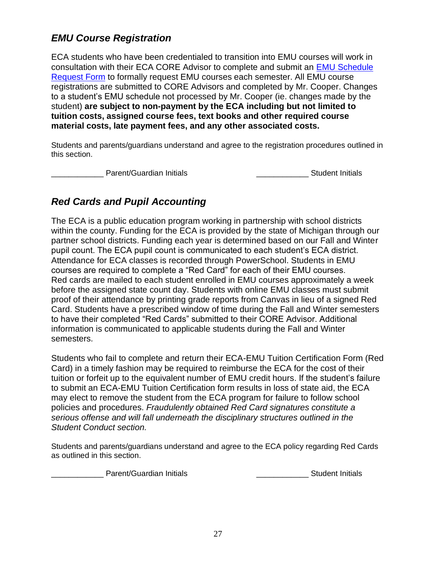# *EMU Course Registration*

ECA students who have been credentialed to transition into EMU courses will work in consultation with their ECA CORE Advisor to complete and submit an [EMU Schedule](https://docs.google.com/spreadsheets/d/1OH_qSU3iFIvidNraUuo5tGfJcm4fKC_MqzS01tyHCJM/copy)  [Request Form](https://docs.google.com/spreadsheets/d/1OH_qSU3iFIvidNraUuo5tGfJcm4fKC_MqzS01tyHCJM/copy) to formally request EMU courses each semester. All EMU course registrations are submitted to CORE Advisors and completed by Mr. Cooper. Changes to a student's EMU schedule not processed by Mr. Cooper (ie. changes made by the student) **are subject to non-payment by the ECA including but not limited to tuition costs, assigned course fees, text books and other required course material costs, late payment fees, and any other associated costs.**

Students and parents/guardians understand and agree to the registration procedures outlined in this section.

Parent/Guardian Initials **Example 20** Student Initials

# *Red Cards and Pupil Accounting*

The ECA is a public education program working in partnership with school districts within the county. Funding for the ECA is provided by the state of Michigan through our partner school districts. Funding each year is determined based on our Fall and Winter pupil count. The ECA pupil count is communicated to each student's ECA district. Attendance for ECA classes is recorded through PowerSchool. Students in EMU courses are required to complete a "Red Card" for each of their EMU courses. Red cards are mailed to each student enrolled in EMU courses approximately a week before the assigned state count day. Students with online EMU classes must submit proof of their attendance by printing grade reports from Canvas in lieu of a signed Red Card. Students have a prescribed window of time during the Fall and Winter semesters to have their completed "Red Cards" submitted to their CORE Advisor. Additional information is communicated to applicable students during the Fall and Winter semesters.

Students who fail to complete and return their ECA-EMU Tuition Certification Form (Red Card) in a timely fashion may be required to reimburse the ECA for the cost of their tuition or forfeit up to the equivalent number of EMU credit hours. If the student's failure to submit an ECA-EMU Tuition Certification form results in loss of state aid, the ECA may elect to remove the student from the ECA program for failure to follow school policies and procedures. *Fraudulently obtained Red Card signatures constitute a serious offense and will fall underneath the disciplinary structures outlined in the Student Conduct section.* 

Students and parents/guardians understand and agree to the ECA policy regarding Red Cards as outlined in this section.

Parent/Guardian Initials **Exercise Student Initials** Student Initials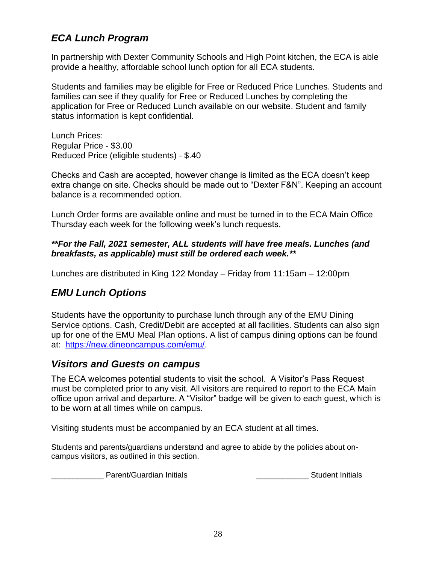# *ECA Lunch Program*

In partnership with Dexter Community Schools and High Point kitchen, the ECA is able provide a healthy, affordable school lunch option for all ECA students.

Students and families may be eligible for Free or Reduced Price Lunches. Students and families can see if they qualify for Free or Reduced Lunches by completing the application for Free or Reduced Lunch available on our website. Student and family status information is kept confidential.

Lunch Prices: Regular Price - \$3.00 Reduced Price (eligible students) - \$.40

Checks and Cash are accepted, however change is limited as the ECA doesn't keep extra change on site. Checks should be made out to "Dexter F&N". Keeping an account balance is a recommended option.

Lunch Order forms are available online and must be turned in to the ECA Main Office Thursday each week for the following week's lunch requests.

#### *\*\*For the Fall, 2021 semester, ALL students will have free meals. Lunches (and breakfasts, as applicable) must still be ordered each week.\*\**

Lunches are distributed in King 122 Monday – Friday from 11:15am – 12:00pm

# *EMU Lunch Options*

Students have the opportunity to purchase lunch through any of the EMU Dining Service options. Cash, Credit/Debit are accepted at all facilities. Students can also sign up for one of the EMU Meal Plan options. A list of campus dining options can be found at: [https://new.dineoncampus.com/emu/.](https://new.dineoncampus.com/emu/)

### *Visitors and Guests on campus*

The ECA welcomes potential students to visit the school. A Visitor's Pass Request must be completed prior to any visit. All visitors are required to report to the ECA Main office upon arrival and departure. A "Visitor" badge will be given to each guest, which is to be worn at all times while on campus.

Visiting students must be accompanied by an ECA student at all times.

Students and parents/guardians understand and agree to abide by the policies about oncampus visitors, as outlined in this section.

\_\_\_\_\_\_\_\_\_\_\_\_ Parent/Guardian Initials \_\_\_\_\_\_\_\_\_\_\_\_ Student Initials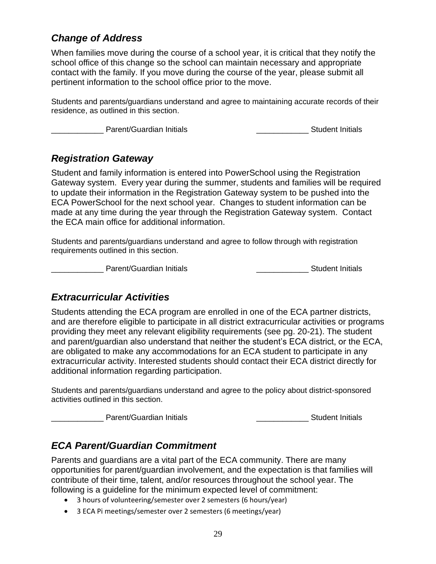# *Change of Address*

When families move during the course of a school year, it is critical that they notify the school office of this change so the school can maintain necessary and appropriate contact with the family. If you move during the course of the year, please submit all pertinent information to the school office prior to the move.

Students and parents/guardians understand and agree to maintaining accurate records of their residence, as outlined in this section.

Lowell and Parent/Guardian Initials **Container and Container Student Initials Student Initials** 

### *Registration Gateway*

Student and family information is entered into PowerSchool using the Registration Gateway system. Every year during the summer, students and families will be required to update their information in the Registration Gateway system to be pushed into the ECA PowerSchool for the next school year. Changes to student information can be made at any time during the year through the Registration Gateway system. Contact the ECA main office for additional information.

Students and parents/guardians understand and agree to follow through with registration requirements outlined in this section.

\_\_\_\_\_\_\_\_\_\_\_\_ Parent/Guardian Initials \_\_\_\_\_\_\_\_\_\_\_\_ Student Initials

### *Extracurricular Activities*

Students attending the ECA program are enrolled in one of the ECA partner districts, and are therefore eligible to participate in all district extracurricular activities or programs providing they meet any relevant eligibility requirements (see pg. 20-21). The student and parent/guardian also understand that neither the student's ECA district, or the ECA, are obligated to make any accommodations for an ECA student to participate in any extracurricular activity. Interested students should contact their ECA district directly for additional information regarding participation.

Students and parents/guardians understand and agree to the policy about district-sponsored activities outlined in this section.

\_\_\_\_\_\_\_\_\_\_\_\_ Parent/Guardian Initials \_\_\_\_\_\_\_\_\_\_\_\_ Student Initials

# *ECA Parent/Guardian Commitment*

Parents and guardians are a vital part of the ECA community. There are many opportunities for parent/guardian involvement, and the expectation is that families will contribute of their time, talent, and/or resources throughout the school year. The following is a guideline for the minimum expected level of commitment:

- 3 hours of volunteering/semester over 2 semesters (6 hours/year)
- 3 ECA Pi meetings/semester over 2 semesters (6 meetings/year)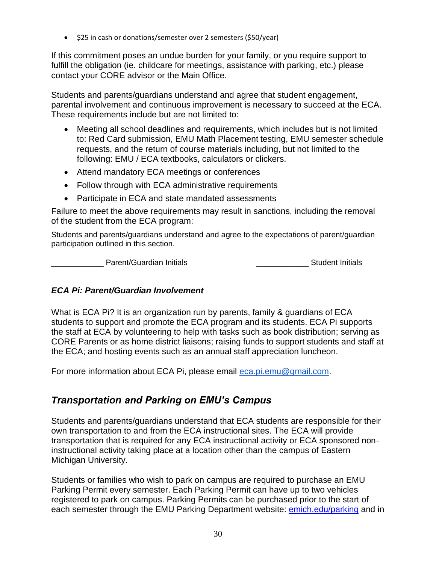• \$25 in cash or donations/semester over 2 semesters (\$50/year)

If this commitment poses an undue burden for your family, or you require support to fulfill the obligation (ie. childcare for meetings, assistance with parking, etc.) please contact your CORE advisor or the Main Office.

Students and parents/guardians understand and agree that student engagement, parental involvement and continuous improvement is necessary to succeed at the ECA. These requirements include but are not limited to:

- Meeting all school deadlines and requirements, which includes but is not limited to: Red Card submission, EMU Math Placement testing, EMU semester schedule requests, and the return of course materials including, but not limited to the following: EMU / ECA textbooks, calculators or clickers.
- Attend mandatory ECA meetings or conferences
- Follow through with ECA administrative requirements
- Participate in ECA and state mandated assessments

Failure to meet the above requirements may result in sanctions, including the removal of the student from the ECA program:

Students and parents/guardians understand and agree to the expectations of parent/guardian participation outlined in this section.

\_\_\_\_\_\_\_\_\_\_\_\_ Parent/Guardian Initials \_\_\_\_\_\_\_\_\_\_\_\_ Student Initials

#### *ECA Pi: Parent/Guardian Involvement*

What is ECA Pi? It is an organization run by parents, family & guardians of ECA students to support and promote the ECA program and its students. ECA Pi supports the staff at ECA by volunteering to help with tasks such as book distribution; serving as CORE Parents or as home district liaisons; raising funds to support students and staff at the ECA; and hosting events such as an annual staff appreciation luncheon.

For more information about ECA Pi, please email [eca.pi.emu@gmail.com.](mailto:eca.pi.emu@gmail.com)

# *Transportation and Parking on EMU's Campus*

Students and parents/guardians understand that ECA students are responsible for their own transportation to and from the ECA instructional sites. The ECA will provide transportation that is required for any ECA instructional activity or ECA sponsored noninstructional activity taking place at a location other than the campus of Eastern Michigan University.

Students or families who wish to park on campus are required to purchase an EMU Parking Permit every semester. Each Parking Permit can have up to two vehicles registered to park on campus. Parking Permits can be purchased prior to the start of each semester through the EMU Parking Department website: [emich.edu/parking](http://emich.edu/parking) and in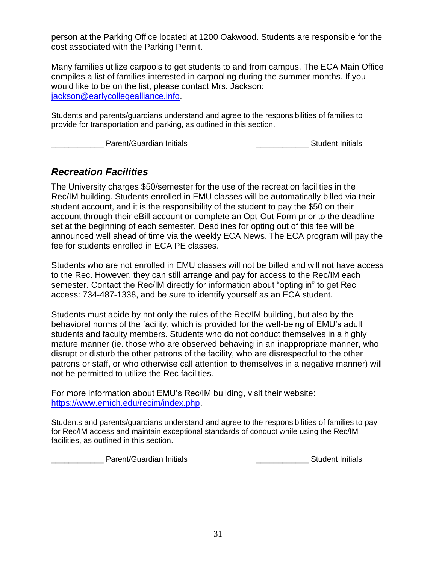person at the Parking Office located at 1200 Oakwood. Students are responsible for the cost associated with the Parking Permit.

Many families utilize carpools to get students to and from campus. The ECA Main Office compiles a list of families interested in carpooling during the summer months. If you would like to be on the list, please contact Mrs. Jackson: [jackson@earlycollegealliance.info.](mailto:jackson@earlycollegealliance.info)

Students and parents/guardians understand and agree to the responsibilities of families to provide for transportation and parking, as outlined in this section.

Lowell Parent/Guardian Initials **Container Student Initials Student Initials Container Student Initials** 

#### *Recreation Facilities*

The University charges \$50/semester for the use of the recreation facilities in the Rec/IM building. Students enrolled in EMU classes will be automatically billed via their student account, and it is the responsibility of the student to pay the \$50 on their account through their eBill account or complete an Opt-Out Form prior to the deadline set at the beginning of each semester. Deadlines for opting out of this fee will be announced well ahead of time via the weekly ECA News. The ECA program will pay the fee for students enrolled in ECA PE classes.

Students who are not enrolled in EMU classes will not be billed and will not have access to the Rec. However, they can still arrange and pay for access to the Rec/IM each semester. Contact the Rec/IM directly for information about "opting in" to get Rec access: 734-487-1338, and be sure to identify yourself as an ECA student.

Students must abide by not only the rules of the Rec/IM building, but also by the behavioral norms of the facility, which is provided for the well-being of EMU's adult students and faculty members. Students who do not conduct themselves in a highly mature manner (ie. those who are observed behaving in an inappropriate manner, who disrupt or disturb the other patrons of the facility, who are disrespectful to the other patrons or staff, or who otherwise call attention to themselves in a negative manner) will not be permitted to utilize the Rec facilities.

For more information about EMU's Rec/IM building, visit their website: [https://www.emich.edu/recim/index.php.](https://www.emich.edu/recim/index.php)

Students and parents/guardians understand and agree to the responsibilities of families to pay for Rec/IM access and maintain exceptional standards of conduct while using the Rec/IM facilities, as outlined in this section.

\_\_\_\_\_\_\_\_\_ Parent/Guardian Initials \_\_\_\_\_\_\_\_\_\_\_\_\_\_\_\_\_\_\_\_\_\_\_\_\_\_\_\_\_\_\_\_\_\_\_Student Initials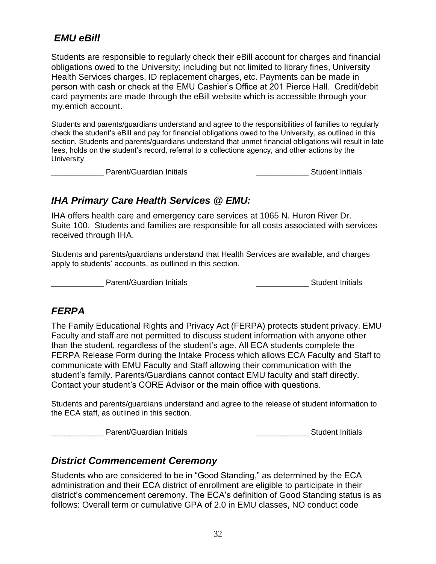# *EMU eBill*

Students are responsible to regularly check their eBill account for charges and financial obligations owed to the University; including but not limited to library fines, University Health Services charges, ID replacement charges, etc. Payments can be made in person with cash or check at the EMU Cashier's Office at 201 Pierce Hall. Credit/debit card payments are made through the eBill website which is accessible through your my.emich account.

Students and parents/guardians understand and agree to the responsibilities of families to regularly check the student's eBill and pay for financial obligations owed to the University, as outlined in this section. Students and parents/guardians understand that unmet financial obligations will result in late fees, holds on the student's record, referral to a collections agency, and other actions by the University.

\_\_\_\_\_\_\_\_\_\_\_\_\_\_\_ Parent/Guardian Initials \_\_\_\_\_\_\_\_\_\_\_\_\_\_\_\_\_\_\_\_\_\_\_\_\_\_\_\_\_\_\_\_\_Student Initials

# *IHA Primary Care Health Services @ EMU:*

IHA offers health care and emergency care services at 1065 N. Huron River Dr. Suite 100. Students and families are responsible for all costs associated with services received through IHA.

Students and parents/guardians understand that Health Services are available, and charges apply to students' accounts, as outlined in this section.

Parent/Guardian Initials **Exercise Student Initials** Student Initials

### *FERPA*

The Family Educational Rights and Privacy Act (FERPA) protects student privacy. EMU Faculty and staff are not permitted to discuss student information with anyone other than the student, regardless of the student's age. All ECA students complete the FERPA Release Form during the Intake Process which allows ECA Faculty and Staff to communicate with EMU Faculty and Staff allowing their communication with the student's family. Parents/Guardians cannot contact EMU faculty and staff directly. Contact your student's CORE Advisor or the main office with questions.

Students and parents/guardians understand and agree to the release of student information to the ECA staff, as outlined in this section.

Log Parent/Guardian Initials and the settlement of the Student Initials

### *District Commencement Ceremony*

Students who are considered to be in "Good Standing," as determined by the ECA administration and their ECA district of enrollment are eligible to participate in their district's commencement ceremony. The ECA's definition of Good Standing status is as follows: Overall term or cumulative GPA of 2.0 in EMU classes, NO conduct code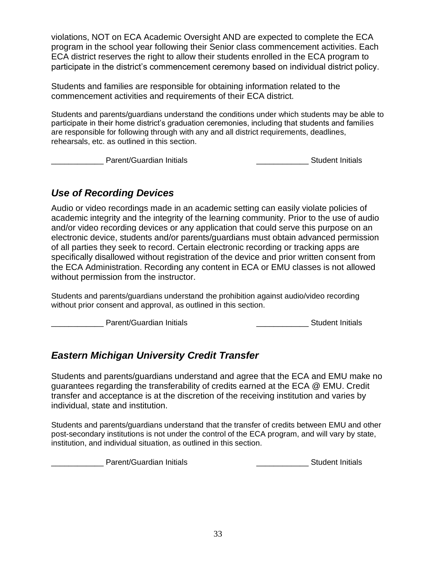violations, NOT on ECA Academic Oversight AND are expected to complete the ECA program in the school year following their Senior class commencement activities. Each ECA district reserves the right to allow their students enrolled in the ECA program to participate in the district's commencement ceremony based on individual district policy.

Students and families are responsible for obtaining information related to the commencement activities and requirements of their ECA district.

Students and parents/guardians understand the conditions under which students may be able to participate in their home district's graduation ceremonies, including that students and families are responsible for following through with any and all district requirements, deadlines, rehearsals, etc. as outlined in this section.

\_\_\_\_\_\_\_\_\_\_\_\_ Parent/Guardian Initials \_\_\_\_\_\_\_\_\_\_\_\_ Student Initials

# *Use of Recording Devices*

Audio or video recordings made in an academic setting can easily violate policies of academic integrity and the integrity of the learning community. Prior to the use of audio and/or video recording devices or any application that could serve this purpose on an electronic device, students and/or parents/guardians must obtain advanced permission of all parties they seek to record. Certain electronic recording or tracking apps are specifically disallowed without registration of the device and prior written consent from the ECA Administration. Recording any content in ECA or EMU classes is not allowed without permission from the instructor.

Students and parents/guardians understand the prohibition against audio/video recording without prior consent and approval, as outlined in this section.

\_\_\_\_\_\_\_\_\_\_\_\_\_\_ Parent/Guardian Initials \_\_\_\_\_\_\_\_\_\_\_\_\_\_\_\_\_\_\_\_\_\_\_\_\_\_\_\_\_\_\_\_\_Student Initials

# *Eastern Michigan University Credit Transfer*

Students and parents/guardians understand and agree that the ECA and EMU make no guarantees regarding the transferability of credits earned at the ECA @ EMU. Credit transfer and acceptance is at the discretion of the receiving institution and varies by individual, state and institution.

Students and parents/guardians understand that the transfer of credits between EMU and other post-secondary institutions is not under the control of the ECA program, and will vary by state, institution, and individual situation, as outlined in this section.

example are Parent/Guardian Initials and the set of the set of the Student Initials Parent/Guardian Initials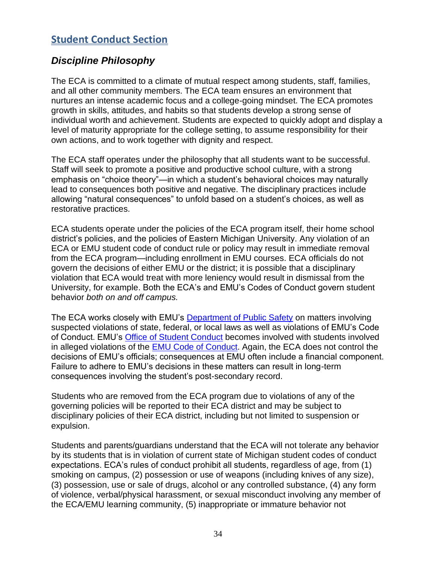# **Student Conduct Section**

# *Discipline Philosophy*

The ECA is committed to a climate of mutual respect among students, staff, families, and all other community members. The ECA team ensures an environment that nurtures an intense academic focus and a college-going mindset. The ECA promotes growth in skills, attitudes, and habits so that students develop a strong sense of individual worth and achievement. Students are expected to quickly adopt and display a level of maturity appropriate for the college setting, to assume responsibility for their own actions, and to work together with dignity and respect.

The ECA staff operates under the philosophy that all students want to be successful. Staff will seek to promote a positive and productive school culture, with a strong emphasis on "choice theory"—in which a student's behavioral choices may naturally lead to consequences both positive and negative. The disciplinary practices include allowing "natural consequences" to unfold based on a student's choices, as well as restorative practices.

ECA students operate under the policies of the ECA program itself, their home school district's policies, and the policies of Eastern Michigan University. Any violation of an ECA or EMU student code of conduct rule or policy may result in immediate removal from the ECA program—including enrollment in EMU courses. ECA officials do not govern the decisions of either EMU or the district; it is possible that a disciplinary violation that ECA would treat with more leniency would result in dismissal from the University, for example. Both the ECA's and EMU's Codes of Conduct govern student behavior *both on and off campus.* 

The ECA works closely with EMU's [Department of Public Safety](https://www.emich.edu/police/index.php) on matters involving suspected violations of state, federal, or local laws as well as violations of EMU's Code of Conduct. EMU's [Office of Student Conduct](https://www.emich.edu/studentconduct/) becomes involved with students involved in alleged violations of the [EMU Code of](https://www.emich.edu/policies/policy.php?id=124) Conduct. Again, the ECA does not control the decisions of EMU's officials; consequences at EMU often include a financial component. Failure to adhere to EMU's decisions in these matters can result in long-term consequences involving the student's post-secondary record.

Students who are removed from the ECA program due to violations of any of the governing policies will be reported to their ECA district and may be subject to disciplinary policies of their ECA district, including but not limited to suspension or expulsion.

Students and parents/guardians understand that the ECA will not tolerate any behavior by its students that is in violation of current state of Michigan student codes of conduct expectations. ECA's rules of conduct prohibit all students, regardless of age, from (1) smoking on campus, (2) possession or use of weapons (including knives of any size), (3) possession, use or sale of drugs, alcohol or any controlled substance, (4) any form of violence, verbal/physical harassment, or sexual misconduct involving any member of the ECA/EMU learning community, (5) inappropriate or immature behavior not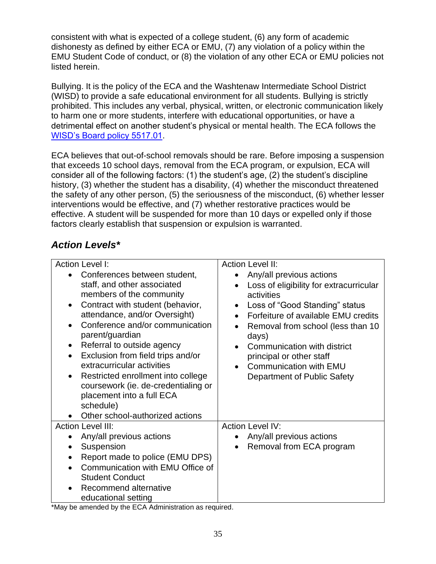consistent with what is expected of a college student, (6) any form of academic dishonesty as defined by either ECA or EMU, (7) any violation of a policy within the EMU Student Code of conduct, or (8) the violation of any other ECA or EMU policies not listed herein.

Bullying. It is the policy of the ECA and the Washtenaw Intermediate School District (WISD) to provide a safe educational environment for all students. Bullying is strictly prohibited. This includes any verbal, physical, written, or electronic communication likely to harm one or more students, interfere with educational opportunities, or have a detrimental effect on another student's physical or mental health. The ECA follows the [WISD's Board policy 5517.01.](http://www.neola.com/washtenawisd-mi/)

ECA believes that out-of-school removals should be rare. Before imposing a suspension that exceeds 10 school days, removal from the ECA program, or expulsion, ECA will consider all of the following factors: (1) the student's age, (2) the student's discipline history, (3) whether the student has a disability, (4) whether the misconduct threatened the safety of any other person, (5) the seriousness of the misconduct, (6) whether lesser interventions would be effective, and (7) whether restorative practices would be effective. A student will be suspended for more than 10 days or expelled only if those factors clearly establish that suspension or expulsion is warranted.

# *Action Levels\**

| <b>Action Level I:</b>                                                                                                                                                                                                                                                                                                                                                                                                                                                                     | <b>Action Level II:</b>                                                                                                                                                                                                                                                                                                                                                     |
|--------------------------------------------------------------------------------------------------------------------------------------------------------------------------------------------------------------------------------------------------------------------------------------------------------------------------------------------------------------------------------------------------------------------------------------------------------------------------------------------|-----------------------------------------------------------------------------------------------------------------------------------------------------------------------------------------------------------------------------------------------------------------------------------------------------------------------------------------------------------------------------|
| Conferences between student,<br>staff, and other associated<br>members of the community<br>Contract with student (behavior,<br>$\bullet$<br>attendance, and/or Oversight)<br>Conference and/or communication<br>parent/guardian<br>Referral to outside agency<br>Exclusion from field trips and/or<br>extracurricular activities<br>Restricted enrollment into college<br>coursework (ie. de-credentialing or<br>placement into a full ECA<br>schedule)<br>Other school-authorized actions | Any/all previous actions<br>$\bullet$<br>Loss of eligibility for extracurricular<br>activities<br>Loss of "Good Standing" status<br>$\bullet$<br>Forfeiture of available EMU credits<br>Removal from school (less than 10)<br>days)<br>Communication with district<br>principal or other staff<br><b>Communication with EMU</b><br>$\bullet$<br>Department of Public Safety |
| <b>Action Level III:</b>                                                                                                                                                                                                                                                                                                                                                                                                                                                                   | <b>Action Level IV:</b>                                                                                                                                                                                                                                                                                                                                                     |
| Any/all previous actions                                                                                                                                                                                                                                                                                                                                                                                                                                                                   | Any/all previous actions                                                                                                                                                                                                                                                                                                                                                    |
| Suspension<br>$\bullet$                                                                                                                                                                                                                                                                                                                                                                                                                                                                    | Removal from ECA program                                                                                                                                                                                                                                                                                                                                                    |
| Report made to police (EMU DPS)                                                                                                                                                                                                                                                                                                                                                                                                                                                            |                                                                                                                                                                                                                                                                                                                                                                             |
| Communication with EMU Office of                                                                                                                                                                                                                                                                                                                                                                                                                                                           |                                                                                                                                                                                                                                                                                                                                                                             |
| <b>Student Conduct</b>                                                                                                                                                                                                                                                                                                                                                                                                                                                                     |                                                                                                                                                                                                                                                                                                                                                                             |
| Recommend alternative<br>educational setting                                                                                                                                                                                                                                                                                                                                                                                                                                               |                                                                                                                                                                                                                                                                                                                                                                             |

\*May be amended by the ECA Administration as required.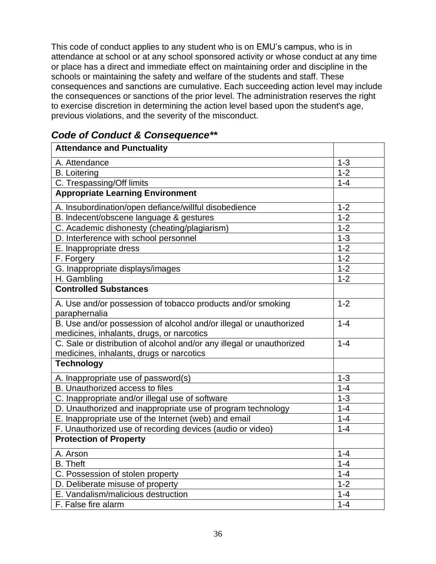This code of conduct applies to any student who is on EMU's campus, who is in attendance at school or at any school sponsored activity or whose conduct at any time or place has a direct and immediate effect on maintaining order and discipline in the schools or maintaining the safety and welfare of the students and staff. These consequences and sanctions are cumulative. Each succeeding action level may include the consequences or sanctions of the prior level. The administration reserves the right to exercise discretion in determining the action level based upon the student's age, previous violations, and the severity of the misconduct.

|  | <b>Code of Conduct &amp; Consequence**</b> |  |  |
|--|--------------------------------------------|--|--|
|  |                                            |  |  |

| <b>Attendance and Punctuality</b>                                                                                 |                   |
|-------------------------------------------------------------------------------------------------------------------|-------------------|
| A. Attendance                                                                                                     | $1 - 3$           |
| <b>B.</b> Loitering                                                                                               | $1 - 2$           |
| C. Trespassing/Off limits                                                                                         | $1 - 4$           |
| <b>Appropriate Learning Environment</b>                                                                           |                   |
| A. Insubordination/open defiance/willful disobedience                                                             | $1 - 2$           |
| B. Indecent/obscene language & gestures                                                                           | $1 - 2$           |
| C. Academic dishonesty (cheating/plagiarism)                                                                      | $\overline{1}$ -2 |
| D. Interference with school personnel                                                                             | $1 - 3$           |
| E. Inappropriate dress                                                                                            | $1 - 2$           |
| F. Forgery                                                                                                        | $1 - 2$           |
| G. Inappropriate displays/images                                                                                  | $1 - 2$           |
| H. Gambling                                                                                                       | $1 - 2$           |
| <b>Controlled Substances</b>                                                                                      |                   |
| A. Use and/or possession of tobacco products and/or smoking<br>paraphernalia                                      | $1 - 2$           |
| B. Use and/or possession of alcohol and/or illegal or unauthorized<br>medicines, inhalants, drugs, or narcotics   | $1 - 4$           |
| C. Sale or distribution of alcohol and/or any illegal or unauthorized<br>medicines, inhalants, drugs or narcotics | $1 - 4$           |
| <b>Technology</b>                                                                                                 |                   |
| A. Inappropriate use of password(s)                                                                               | $1 - 3$           |
| <b>B.</b> Unauthorized access to files                                                                            | $1 - 4$           |
| C. Inappropriate and/or illegal use of software                                                                   | $1 - 3$           |
| D. Unauthorized and inappropriate use of program technology                                                       | $1 - 4$           |
| E. Inappropriate use of the Internet (web) and email                                                              | $1 - 4$           |
| F. Unauthorized use of recording devices (audio or video)                                                         | $1 - 4$           |
| <b>Protection of Property</b>                                                                                     |                   |
| A. Arson                                                                                                          | $1 - 4$           |
| <b>B.</b> Theft                                                                                                   | $1 - 4$           |
| C. Possession of stolen property                                                                                  | $1 - 4$           |
| D. Deliberate misuse of property                                                                                  | $1 - 2$           |
| E. Vandalism/malicious destruction                                                                                | $1 - 4$           |
| F. False fire alarm                                                                                               | $1 - 4$           |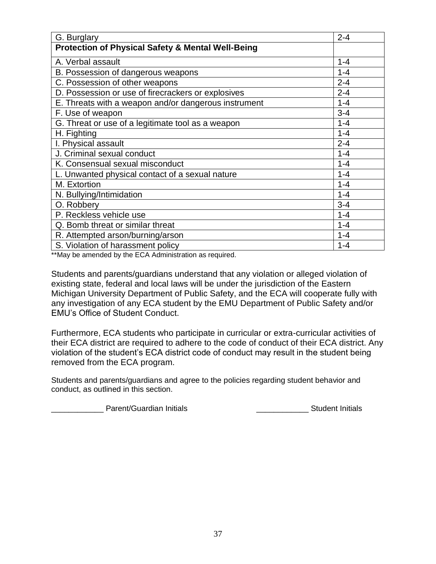| G. Burglary                                                  | $2 - 4$ |
|--------------------------------------------------------------|---------|
| <b>Protection of Physical Safety &amp; Mental Well-Being</b> |         |
| A. Verbal assault                                            | $1 - 4$ |
| B. Possession of dangerous weapons                           | $1 - 4$ |
| C. Possession of other weapons                               | $2 - 4$ |
| D. Possession or use of firecrackers or explosives           | $2 - 4$ |
| E. Threats with a weapon and/or dangerous instrument         | $1 - 4$ |
| F. Use of weapon                                             | $3 - 4$ |
| G. Threat or use of a legitimate tool as a weapon            | $1 - 4$ |
| H. Fighting                                                  | $1 - 4$ |
| I. Physical assault                                          | $2 - 4$ |
| J. Criminal sexual conduct                                   | $1 - 4$ |
| K. Consensual sexual misconduct                              | $1 - 4$ |
| L. Unwanted physical contact of a sexual nature              | $1 - 4$ |
| M. Extortion                                                 | $1 - 4$ |
| N. Bullying/Intimidation                                     | $1 - 4$ |
| O. Robbery                                                   | $3 - 4$ |
| P. Reckless vehicle use                                      | $1 - 4$ |
| Q. Bomb threat or similar threat                             | $1 - 4$ |
| R. Attempted arson/burning/arson                             | $1 - 4$ |
| S. Violation of harassment policy                            | $1 - 4$ |

\*\*May be amended by the ECA Administration as required.

Students and parents/guardians understand that any violation or alleged violation of existing state, federal and local laws will be under the jurisdiction of the Eastern Michigan University Department of Public Safety, and the ECA will cooperate fully with any investigation of any ECA student by the EMU Department of Public Safety and/or EMU's Office of Student Conduct.

Furthermore, ECA students who participate in curricular or extra-curricular activities of their ECA district are required to adhere to the code of conduct of their ECA district. Any violation of the student's ECA district code of conduct may result in the student being removed from the ECA program.

Students and parents/guardians and agree to the policies regarding student behavior and conduct, as outlined in this section.

Lowell Parent/Guardian Initials **Container and Container Parent/Guardian Initials Number** 2014